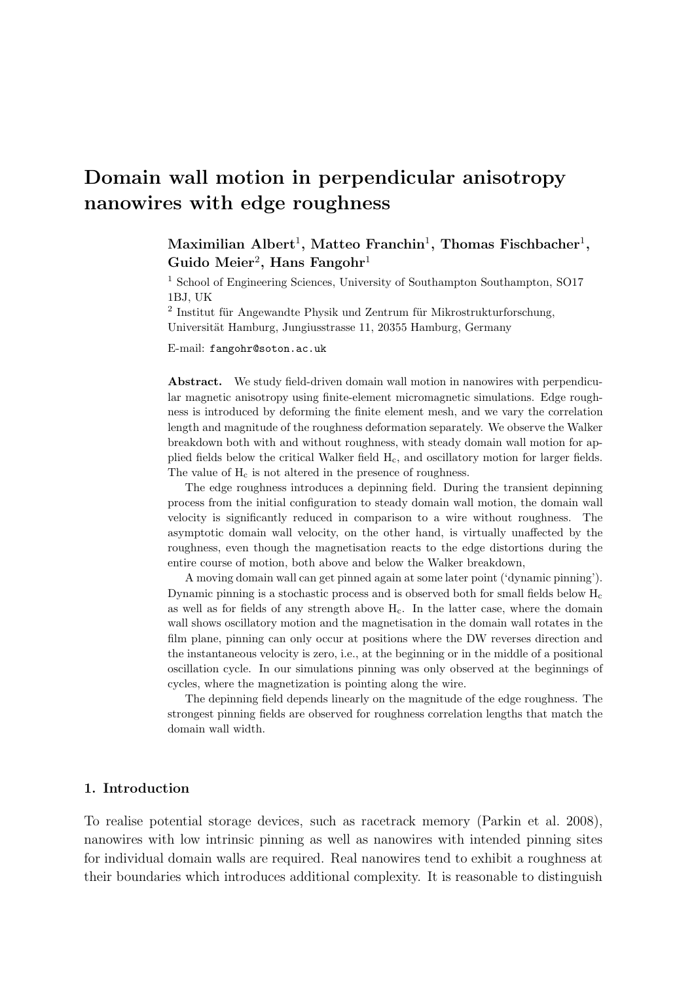# Domain wall motion in perpendicular anisotropy nanowires with edge roughness

 $\mathrm{Maximilian\; Albert^1,\; Matteo\; Franklin^1,\; Thomas\; Fishbacher^1,}$ Guido Meier<sup>2</sup>, Hans Fangohr<sup>1</sup>

<sup>1</sup> School of Engineering Sciences, University of Southampton Southampton, SO17 1BJ, UK

 $2$  Institut für Angewandte Physik und Zentrum für Mikrostrukturforschung, Universität Hamburg, Jungiusstrasse 11, 20355 Hamburg, Germany

E-mail: fangohr@soton.ac.uk

Abstract. We study field-driven domain wall motion in nanowires with perpendicular magnetic anisotropy using finite-element micromagnetic simulations. Edge roughness is introduced by deforming the finite element mesh, and we vary the correlation length and magnitude of the roughness deformation separately. We observe the Walker breakdown both with and without roughness, with steady domain wall motion for applied fields below the critical Walker field Hc, and oscillatory motion for larger fields. The value of  $H_c$  is not altered in the presence of roughness.

The edge roughness introduces a depinning field. During the transient depinning process from the initial configuration to steady domain wall motion, the domain wall velocity is significantly reduced in comparison to a wire without roughness. The asymptotic domain wall velocity, on the other hand, is virtually unaffected by the roughness, even though the magnetisation reacts to the edge distortions during the entire course of motion, both above and below the Walker breakdown,

A moving domain wall can get pinned again at some later point ('dynamic pinning'). Dynamic pinning is a stochastic process and is observed both for small fields below  $H_c$ as well as for fields of any strength above  $H<sub>c</sub>$ . In the latter case, where the domain wall shows oscillatory motion and the magnetisation in the domain wall rotates in the film plane, pinning can only occur at positions where the DW reverses direction and the instantaneous velocity is zero, i.e., at the beginning or in the middle of a positional oscillation cycle. In our simulations pinning was only observed at the beginnings of cycles, where the magnetization is pointing along the wire.

The depinning field depends linearly on the magnitude of the edge roughness. The strongest pinning fields are observed for roughness correlation lengths that match the domain wall width.

# 1. Introduction

To realise potential storage devices, such as racetrack memory (Parkin et al. 2008), nanowires with low intrinsic pinning as well as nanowires with intended pinning sites for individual domain walls are required. Real nanowires tend to exhibit a roughness at their boundaries which introduces additional complexity. It is reasonable to distinguish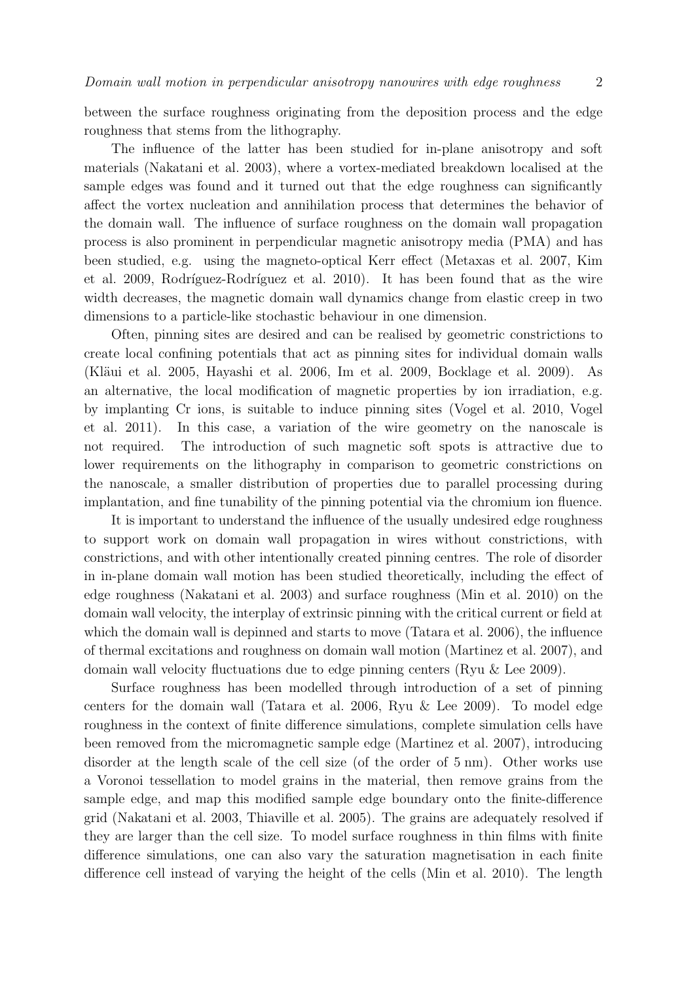between the surface roughness originating from the deposition process and the edge roughness that stems from the lithography.

The influence of the latter has been studied for in-plane anisotropy and soft materials (Nakatani et al. 2003), where a vortex-mediated breakdown localised at the sample edges was found and it turned out that the edge roughness can significantly affect the vortex nucleation and annihilation process that determines the behavior of the domain wall. The influence of surface roughness on the domain wall propagation process is also prominent in perpendicular magnetic anisotropy media (PMA) and has been studied, e.g. using the magneto-optical Kerr effect (Metaxas et al. 2007, Kim et al. 2009, Rodríguez-Rodríguez et al. 2010). It has been found that as the wire width decreases, the magnetic domain wall dynamics change from elastic creep in two dimensions to a particle-like stochastic behaviour in one dimension.

Often, pinning sites are desired and can be realised by geometric constrictions to create local confining potentials that act as pinning sites for individual domain walls (Kläui et al. 2005, Hayashi et al. 2006, Im et al. 2009, Bocklage et al. 2009). As an alternative, the local modification of magnetic properties by ion irradiation, e.g. by implanting Cr ions, is suitable to induce pinning sites (Vogel et al. 2010, Vogel et al. 2011). In this case, a variation of the wire geometry on the nanoscale is not required. The introduction of such magnetic soft spots is attractive due to lower requirements on the lithography in comparison to geometric constrictions on the nanoscale, a smaller distribution of properties due to parallel processing during implantation, and fine tunability of the pinning potential via the chromium ion fluence.

It is important to understand the influence of the usually undesired edge roughness to support work on domain wall propagation in wires without constrictions, with constrictions, and with other intentionally created pinning centres. The role of disorder in in-plane domain wall motion has been studied theoretically, including the effect of edge roughness (Nakatani et al. 2003) and surface roughness (Min et al. 2010) on the domain wall velocity, the interplay of extrinsic pinning with the critical current or field at which the domain wall is depinned and starts to move (Tatara et al. 2006), the influence of thermal excitations and roughness on domain wall motion (Martinez et al. 2007), and domain wall velocity fluctuations due to edge pinning centers (Ryu & Lee 2009).

Surface roughness has been modelled through introduction of a set of pinning centers for the domain wall (Tatara et al. 2006, Ryu & Lee 2009). To model edge roughness in the context of finite difference simulations, complete simulation cells have been removed from the micromagnetic sample edge (Martinez et al. 2007), introducing disorder at the length scale of the cell size (of the order of 5 nm). Other works use a Voronoi tessellation to model grains in the material, then remove grains from the sample edge, and map this modified sample edge boundary onto the finite-difference grid (Nakatani et al. 2003, Thiaville et al. 2005). The grains are adequately resolved if they are larger than the cell size. To model surface roughness in thin films with finite difference simulations, one can also vary the saturation magnetisation in each finite difference cell instead of varying the height of the cells (Min et al. 2010). The length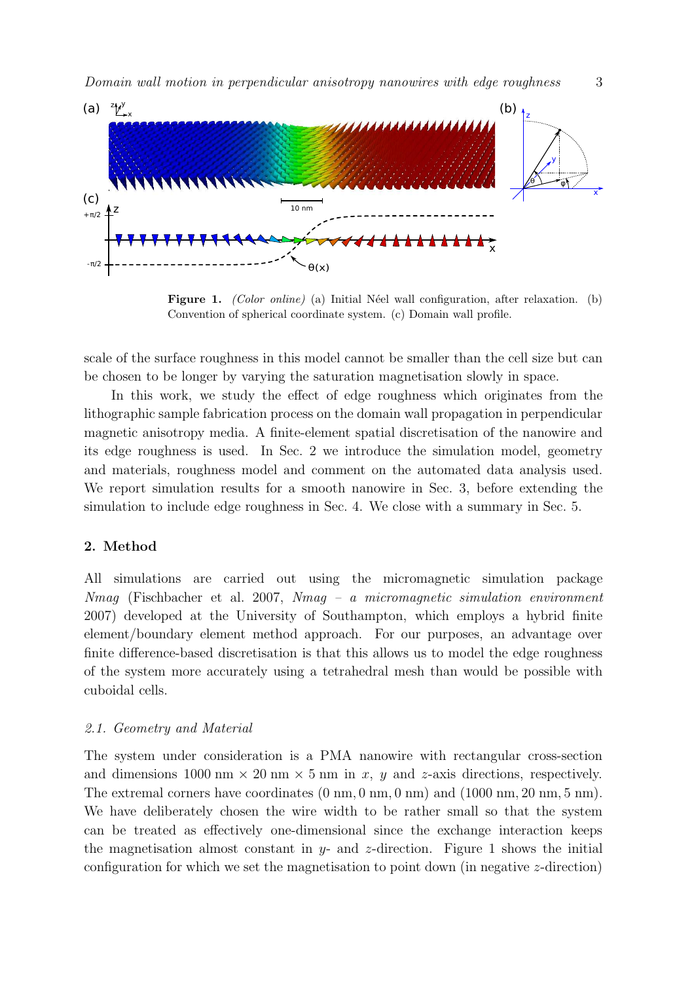

Figure 1. *(Color online)* (a) Initial Néel wall configuration, after relaxation. (b) Convention of spherical coordinate system. (c) Domain wall profile.

scale of the surface roughness in this model cannot be smaller than the cell size but can be chosen to be longer by varying the saturation magnetisation slowly in space.

In this work, we study the effect of edge roughness which originates from the lithographic sample fabrication process on the domain wall propagation in perpendicular magnetic anisotropy media. A finite-element spatial discretisation of the nanowire and its edge roughness is used. In Sec. 2 we introduce the simulation model, geometry and materials, roughness model and comment on the automated data analysis used. We report simulation results for a smooth nanowire in Sec. 3, before extending the simulation to include edge roughness in Sec. 4. We close with a summary in Sec. 5.

# 2. Method

All simulations are carried out using the micromagnetic simulation package Nmag (Fischbacher et al. 2007, Nmag – a micromagnetic simulation environment 2007) developed at the University of Southampton, which employs a hybrid finite element/boundary element method approach. For our purposes, an advantage over finite difference-based discretisation is that this allows us to model the edge roughness of the system more accurately using a tetrahedral mesh than would be possible with cuboidal cells.

#### 2.1. Geometry and Material

The system under consideration is a PMA nanowire with rectangular cross-section and dimensions  $1000 \text{ nm} \times 20 \text{ nm} \times 5 \text{ nm}$  in x, y and z-axis directions, respectively. The extremal corners have coordinates  $(0 \text{ nm}, 0 \text{ nm}, 0 \text{ nm})$  and  $(1000 \text{ nm}, 20 \text{ nm}, 5 \text{ nm})$ . We have deliberately chosen the wire width to be rather small so that the system can be treated as effectively one-dimensional since the exchange interaction keeps the magnetisation almost constant in  $y$ - and z-direction. Figure 1 shows the initial configuration for which we set the magnetisation to point down (in negative z-direction)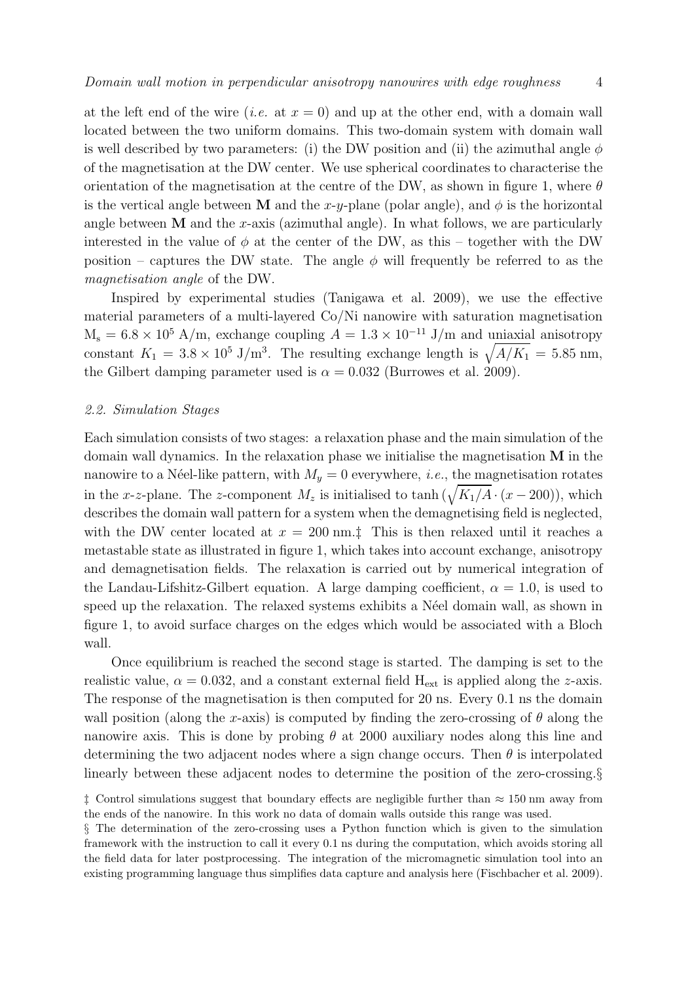at the left end of the wire (*i.e.* at  $x = 0$ ) and up at the other end, with a domain wall located between the two uniform domains. This two-domain system with domain wall is well described by two parameters: (i) the DW position and (ii) the azimuthal angle  $\phi$ of the magnetisation at the DW center. We use spherical coordinates to characterise the orientation of the magnetisation at the centre of the DW, as shown in figure 1, where  $\theta$ is the vertical angle between M and the x-y-plane (polar angle), and  $\phi$  is the horizontal angle between  **and the x-axis (azimuthal angle). In what follows, we are particularly** interested in the value of  $\phi$  at the center of the DW, as this – together with the DW position – captures the DW state. The angle  $\phi$  will frequently be referred to as the magnetisation angle of the DW.

Inspired by experimental studies (Tanigawa et al. 2009), we use the effective material parameters of a multi-layered Co/Ni nanowire with saturation magnetisation  $M_s = 6.8 \times 10^5$  A/m, exchange coupling  $A = 1.3 \times 10^{-11}$  J/m and uniaxial anisotropy constant  $K_1 = 3.8 \times 10^5 \text{ J/m}^3$ . The resulting exchange length is  $\sqrt{A/K_1} = 5.85 \text{ nm}$ , the Gilbert damping parameter used is  $\alpha = 0.032$  (Burrowes et al. 2009).

#### 2.2. Simulation Stages

Each simulation consists of two stages: a relaxation phase and the main simulation of the domain wall dynamics. In the relaxation phase we initialise the magnetisation M in the nanowire to a Néel-like pattern, with  $M_y = 0$  everywhere, *i.e.*, the magnetisation rotates in the x-z-plane. The z-component  $M_z$  is initialised to tanh  $(\sqrt{K_1/A} \cdot (x - 200))$ , which describes the domain wall pattern for a system when the demagnetising field is neglected, with the DW center located at  $x = 200$  nm.<sup>†</sup> This is then relaxed until it reaches a metastable state as illustrated in figure 1, which takes into account exchange, anisotropy and demagnetisation fields. The relaxation is carried out by numerical integration of the Landau-Lifshitz-Gilbert equation. A large damping coefficient,  $\alpha = 1.0$ , is used to speed up the relaxation. The relaxed systems exhibits a Néel domain wall, as shown in figure 1, to avoid surface charges on the edges which would be associated with a Bloch wall.

Once equilibrium is reached the second stage is started. The damping is set to the realistic value,  $\alpha = 0.032$ , and a constant external field  $H_{ext}$  is applied along the z-axis. The response of the magnetisation is then computed for 20 ns. Every 0.1 ns the domain wall position (along the x-axis) is computed by finding the zero-crossing of  $\theta$  along the nanowire axis. This is done by probing  $\theta$  at 2000 auxiliary nodes along this line and determining the two adjacent nodes where a sign change occurs. Then  $\theta$  is interpolated linearly between these adjacent nodes to determine the position of the zero-crossing.§

 $\ddagger$  Control simulations suggest that boundary effects are negligible further than  $\approx 150$  nm away from the ends of the nanowire. In this work no data of domain walls outside this range was used.

<sup>§</sup> The determination of the zero-crossing uses a Python function which is given to the simulation framework with the instruction to call it every 0.1 ns during the computation, which avoids storing all the field data for later postprocessing. The integration of the micromagnetic simulation tool into an existing programming language thus simplifies data capture and analysis here (Fischbacher et al. 2009).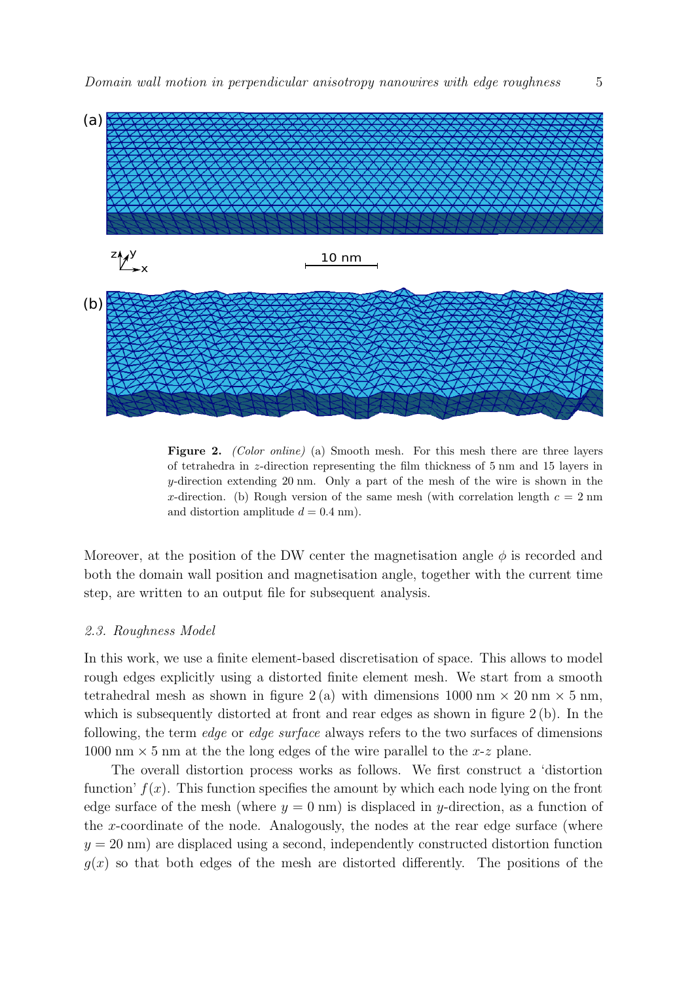

Figure 2. *(Color online)* (a) Smooth mesh. For this mesh there are three layers of tetrahedra in z-direction representing the film thickness of 5 nm and 15 layers in  $y$ -direction extending 20 nm. Only a part of the mesh of the wire is shown in the x-direction. (b) Rough version of the same mesh (with correlation length  $c = 2$  nm and distortion amplitude  $d = 0.4$  nm).

Moreover, at the position of the DW center the magnetisation angle  $\phi$  is recorded and both the domain wall position and magnetisation angle, together with the current time step, are written to an output file for subsequent analysis.

#### 2.3. Roughness Model

In this work, we use a finite element-based discretisation of space. This allows to model rough edges explicitly using a distorted finite element mesh. We start from a smooth tetrahedral mesh as shown in figure 2(a) with dimensions  $1000 \text{ nm} \times 20 \text{ nm} \times 5 \text{ nm}$ , which is subsequently distorted at front and rear edges as shown in figure 2(b). In the following, the term edge or edge surface always refers to the two surfaces of dimensions 1000 nm  $\times$  5 nm at the the long edges of the wire parallel to the x-z plane.

The overall distortion process works as follows. We first construct a 'distortion function'  $f(x)$ . This function specifies the amount by which each node lying on the front edge surface of the mesh (where  $y = 0$  nm) is displaced in y-direction, as a function of the x-coordinate of the node. Analogously, the nodes at the rear edge surface (where  $y = 20$  nm) are displaced using a second, independently constructed distortion function  $q(x)$  so that both edges of the mesh are distorted differently. The positions of the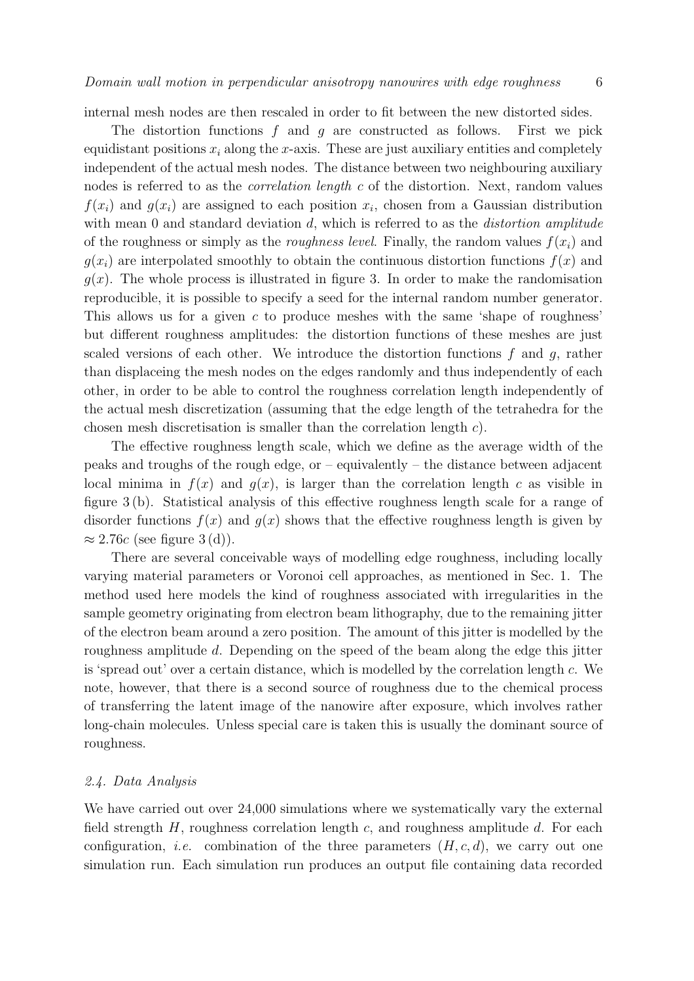internal mesh nodes are then rescaled in order to fit between the new distorted sides.

The distortion functions  $f$  and  $g$  are constructed as follows. First we pick equidistant positions  $x_i$  along the x-axis. These are just auxiliary entities and completely independent of the actual mesh nodes. The distance between two neighbouring auxiliary nodes is referred to as the correlation length c of the distortion. Next, random values  $f(x_i)$  and  $g(x_i)$  are assigned to each position  $x_i$ , chosen from a Gaussian distribution with mean 0 and standard deviation d, which is referred to as the distortion amplitude of the roughness or simply as the *roughness level*. Finally, the random values  $f(x_i)$  and  $g(x_i)$  are interpolated smoothly to obtain the continuous distortion functions  $f(x)$  and  $g(x)$ . The whole process is illustrated in figure 3. In order to make the randomisation reproducible, it is possible to specify a seed for the internal random number generator. This allows us for a given  $c$  to produce meshes with the same 'shape of roughness' but different roughness amplitudes: the distortion functions of these meshes are just scaled versions of each other. We introduce the distortion functions  $f$  and  $g$ , rather than displaceing the mesh nodes on the edges randomly and thus independently of each other, in order to be able to control the roughness correlation length independently of the actual mesh discretization (assuming that the edge length of the tetrahedra for the chosen mesh discretisation is smaller than the correlation length c).

The effective roughness length scale, which we define as the average width of the peaks and troughs of the rough edge, or  $-$  equivalently  $-$  the distance between adjacent local minima in  $f(x)$  and  $g(x)$ , is larger than the correlation length c as visible in figure 3 (b). Statistical analysis of this effective roughness length scale for a range of disorder functions  $f(x)$  and  $g(x)$  shows that the effective roughness length is given by  $\approx 2.76c$  (see figure 3(d)).

There are several conceivable ways of modelling edge roughness, including locally varying material parameters or Voronoi cell approaches, as mentioned in Sec. 1. The method used here models the kind of roughness associated with irregularities in the sample geometry originating from electron beam lithography, due to the remaining jitter of the electron beam around a zero position. The amount of this jitter is modelled by the roughness amplitude d. Depending on the speed of the beam along the edge this jitter is 'spread out' over a certain distance, which is modelled by the correlation length c. We note, however, that there is a second source of roughness due to the chemical process of transferring the latent image of the nanowire after exposure, which involves rather long-chain molecules. Unless special care is taken this is usually the dominant source of roughness.

#### 2.4. Data Analysis

We have carried out over  $24,000$  simulations where we systematically vary the external field strength  $H$ , roughness correlation length  $c$ , and roughness amplitude  $d$ . For each configuration, *i.e.* combination of the three parameters  $(H, c, d)$ , we carry out one simulation run. Each simulation run produces an output file containing data recorded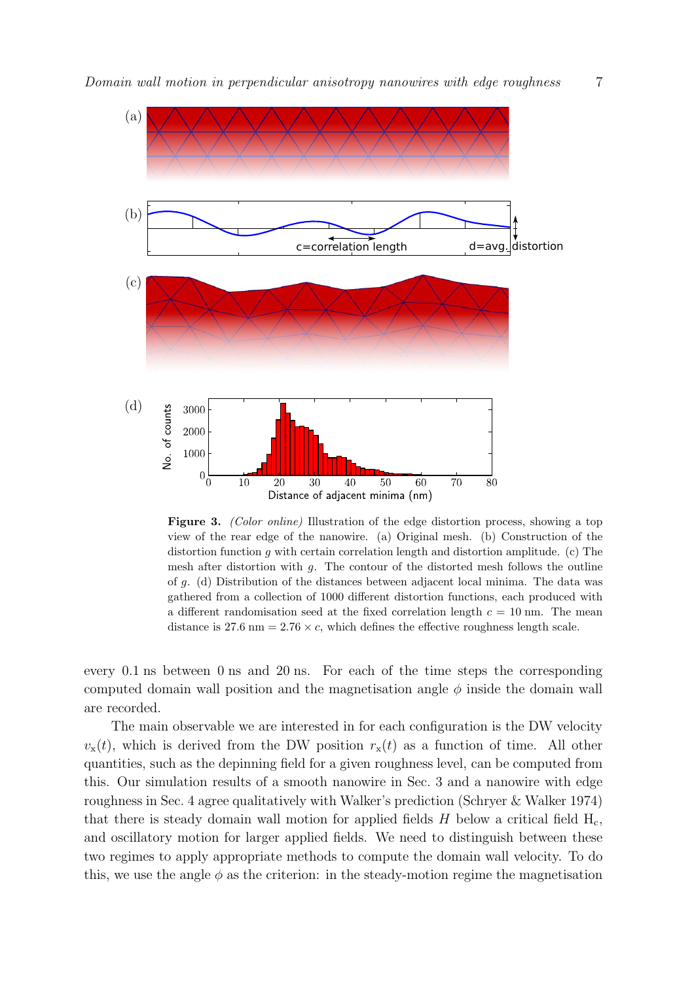

Figure 3. *(Color online)* Illustration of the edge distortion process, showing a top view of the rear edge of the nanowire. (a) Original mesh. (b) Construction of the distortion function g with certain correlation length and distortion amplitude. (c) The mesh after distortion with  $g$ . The contour of the distorted mesh follows the outline of g. (d) Distribution of the distances between adjacent local minima. The data was gathered from a collection of 1000 different distortion functions, each produced with a different randomisation seed at the fixed correlation length  $c = 10$  nm. The mean distance is 27.6 nm =  $2.76 \times c$ , which defines the effective roughness length scale.

every 0.1 ns between 0 ns and 20 ns. For each of the time steps the corresponding computed domain wall position and the magnetisation angle  $\phi$  inside the domain wall are recorded.

The main observable we are interested in for each configuration is the DW velocity  $v_x(t)$ , which is derived from the DW position  $r_x(t)$  as a function of time. All other quantities, such as the depinning field for a given roughness level, can be computed from this. Our simulation results of a smooth nanowire in Sec. 3 and a nanowire with edge roughness in Sec. 4 agree qualitatively with Walker's prediction (Schryer & Walker 1974) that there is steady domain wall motion for applied fields  $H$  below a critical field  $H_c$ , and oscillatory motion for larger applied fields. We need to distinguish between these two regimes to apply appropriate methods to compute the domain wall velocity. To do this, we use the angle  $\phi$  as the criterion: in the steady-motion regime the magnetisation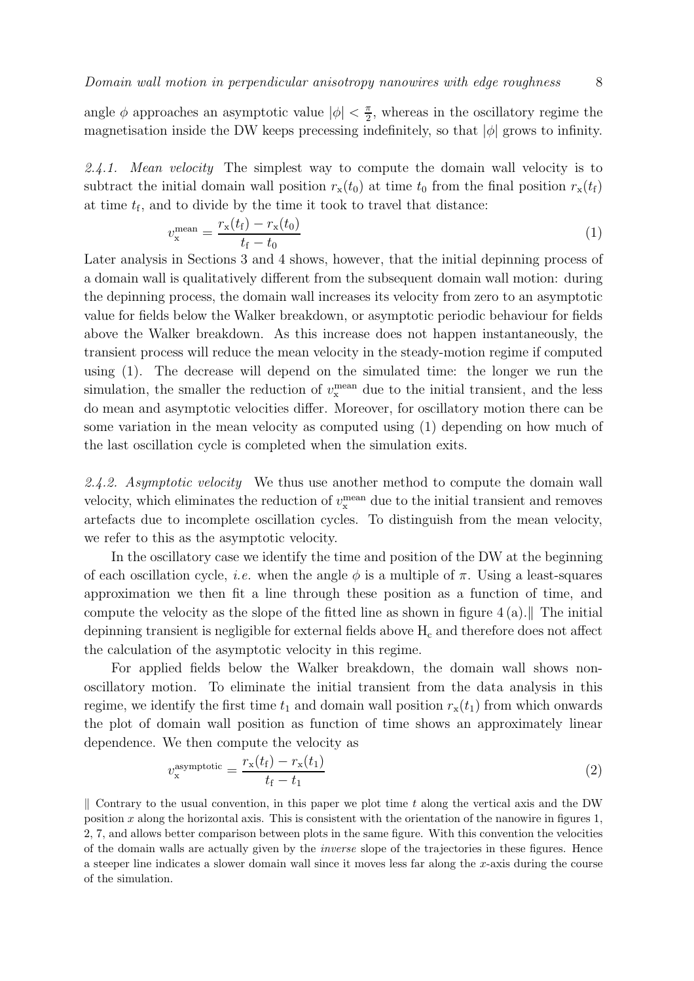angle  $\phi$  approaches an asymptotic value  $|\phi| < \frac{\pi}{2}$  $\frac{\pi}{2}$ , whereas in the oscillatory regime the magnetisation inside the DW keeps precessing indefinitely, so that  $|\phi|$  grows to infinity.

2.4.1. Mean velocity The simplest way to compute the domain wall velocity is to subtract the initial domain wall position  $r_x(t_0)$  at time  $t_0$  from the final position  $r_x(t_f)$ at time  $t_f$ , and to divide by the time it took to travel that distance:

$$
v_{\rm x}^{\rm mean} = \frac{r_{\rm x}(t_{\rm f}) - r_{\rm x}(t_0)}{t_{\rm f} - t_0} \tag{1}
$$

Later analysis in Sections 3 and 4 shows, however, that the initial depinning process of a domain wall is qualitatively different from the subsequent domain wall motion: during the depinning process, the domain wall increases its velocity from zero to an asymptotic value for fields below the Walker breakdown, or asymptotic periodic behaviour for fields above the Walker breakdown. As this increase does not happen instantaneously, the transient process will reduce the mean velocity in the steady-motion regime if computed using (1). The decrease will depend on the simulated time: the longer we run the simulation, the smaller the reduction of  $v_{\rm x}^{\rm mean}$  due to the initial transient, and the less do mean and asymptotic velocities differ. Moreover, for oscillatory motion there can be some variation in the mean velocity as computed using (1) depending on how much of the last oscillation cycle is completed when the simulation exits.

2.4.2. Asymptotic velocity We thus use another method to compute the domain wall velocity, which eliminates the reduction of  $v_{\rm x}^{\rm mean}$  due to the initial transient and removes artefacts due to incomplete oscillation cycles. To distinguish from the mean velocity, we refer to this as the asymptotic velocity.

In the oscillatory case we identify the time and position of the DW at the beginning of each oscillation cycle, *i.e.* when the angle  $\phi$  is a multiple of  $\pi$ . Using a least-squares approximation we then fit a line through these position as a function of time, and compute the velocity as the slope of the fitted line as shown in figure  $4(a)$ . depinning transient is negligible for external fields above  $H_c$  and therefore does not affect the calculation of the asymptotic velocity in this regime.

For applied fields below the Walker breakdown, the domain wall shows nonoscillatory motion. To eliminate the initial transient from the data analysis in this regime, we identify the first time  $t_1$  and domain wall position  $r_x(t_1)$  from which onwards the plot of domain wall position as function of time shows an approximately linear dependence. We then compute the velocity as

$$
v_{\mathbf{x}}^{\text{asymptotic}} = \frac{r_{\mathbf{x}}(t_{\mathbf{f}}) - r_{\mathbf{x}}(t_1)}{t_{\mathbf{f}} - t_1} \tag{2}
$$

 $\parallel$  Contrary to the usual convention, in this paper we plot time t along the vertical axis and the DW position x along the horizontal axis. This is consistent with the orientation of the nanowire in figures  $1$ , 2, 7, and allows better comparison between plots in the same figure. With this convention the velocities of the domain walls are actually given by the *inverse* slope of the trajectories in these figures. Hence a steeper line indicates a slower domain wall since it moves less far along the x-axis during the course of the simulation.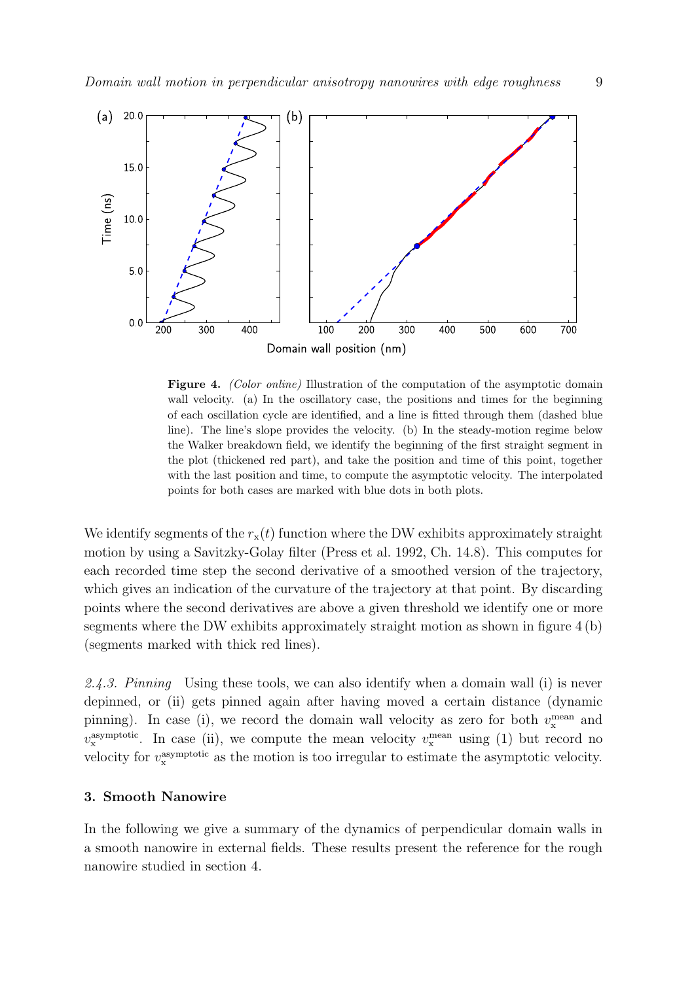

Figure 4. *(Color online)* Illustration of the computation of the asymptotic domain wall velocity. (a) In the oscillatory case, the positions and times for the beginning of each oscillation cycle are identified, and a line is fitted through them (dashed blue line). The line's slope provides the velocity. (b) In the steady-motion regime below the Walker breakdown field, we identify the beginning of the first straight segment in the plot (thickened red part), and take the position and time of this point, together with the last position and time, to compute the asymptotic velocity. The interpolated points for both cases are marked with blue dots in both plots.

We identify segments of the  $r<sub>x</sub>(t)$  function where the DW exhibits approximately straight motion by using a Savitzky-Golay filter (Press et al. 1992, Ch. 14.8). This computes for each recorded time step the second derivative of a smoothed version of the trajectory, which gives an indication of the curvature of the trajectory at that point. By discarding points where the second derivatives are above a given threshold we identify one or more segments where the DW exhibits approximately straight motion as shown in figure  $4(b)$ (segments marked with thick red lines).

2.4.3. Pinning Using these tools, we can also identify when a domain wall (i) is never depinned, or (ii) gets pinned again after having moved a certain distance (dynamic pinning). In case (i), we record the domain wall velocity as zero for both  $v_{\rm x}^{\rm mean}$  and  $v_{\rm x}^{\rm asymptotic}$ . In case (ii), we compute the mean velocity  $v_{\rm x}^{\rm mean}$  using (1) but record no velocity for  $v_{\rm x}^{\rm asymptotic}$  as the motion is too irregular to estimate the asymptotic velocity.

#### 3. Smooth Nanowire

In the following we give a summary of the dynamics of perpendicular domain walls in a smooth nanowire in external fields. These results present the reference for the rough nanowire studied in section 4.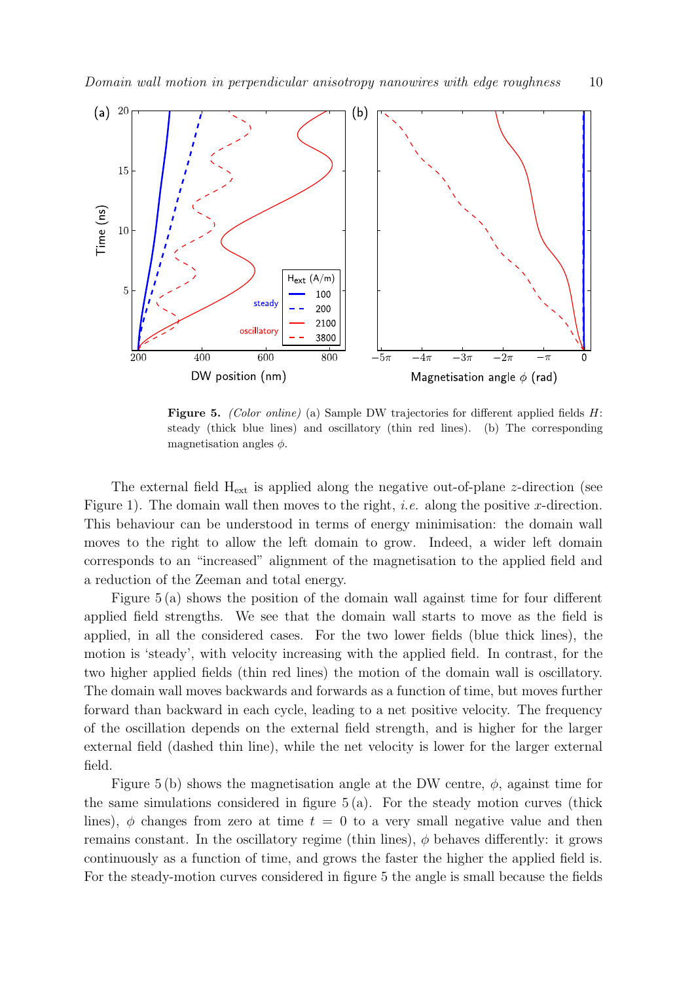

Figure 5. *(Color online)* (a) Sample DW trajectories for different applied fields H: steady (thick blue lines) and oscillatory (thin red lines). (b) The corresponding magnetisation angles  $\phi$ .

The external field  $H_{ext}$  is applied along the negative out-of-plane z-direction (see Figure 1). The domain wall then moves to the right, *i.e.* along the positive x-direction. This behaviour can be understood in terms of energy minimisation: the domain wall moves to the right to allow the left domain to grow. Indeed, a wider left domain corresponds to an "increased" alignment of the magnetisation to the applied field and a reduction of the Zeeman and total energy.

Figure 5 (a) shows the position of the domain wall against time for four different applied field strengths. We see that the domain wall starts to move as the field is applied, in all the considered cases. For the two lower fields (blue thick lines), the motion is 'steady', with velocity increasing with the applied field. In contrast, for the two higher applied fields (thin red lines) the motion of the domain wall is oscillatory. The domain wall moves backwards and forwards as a function of time, but moves further forward than backward in each cycle, leading to a net positive velocity. The frequency of the oscillation depends on the external field strength, and is higher for the larger external field (dashed thin line), while the net velocity is lower for the larger external field.

Figure 5 (b) shows the magnetisation angle at the DW centre,  $\phi$ , against time for the same simulations considered in figure  $5(a)$ . For the steady motion curves (thick lines),  $\phi$  changes from zero at time  $t = 0$  to a very small negative value and then remains constant. In the oscillatory regime (thin lines),  $\phi$  behaves differently: it grows continuously as a function of time, and grows the faster the higher the applied field is. For the steady-motion curves considered in figure 5 the angle is small because the fields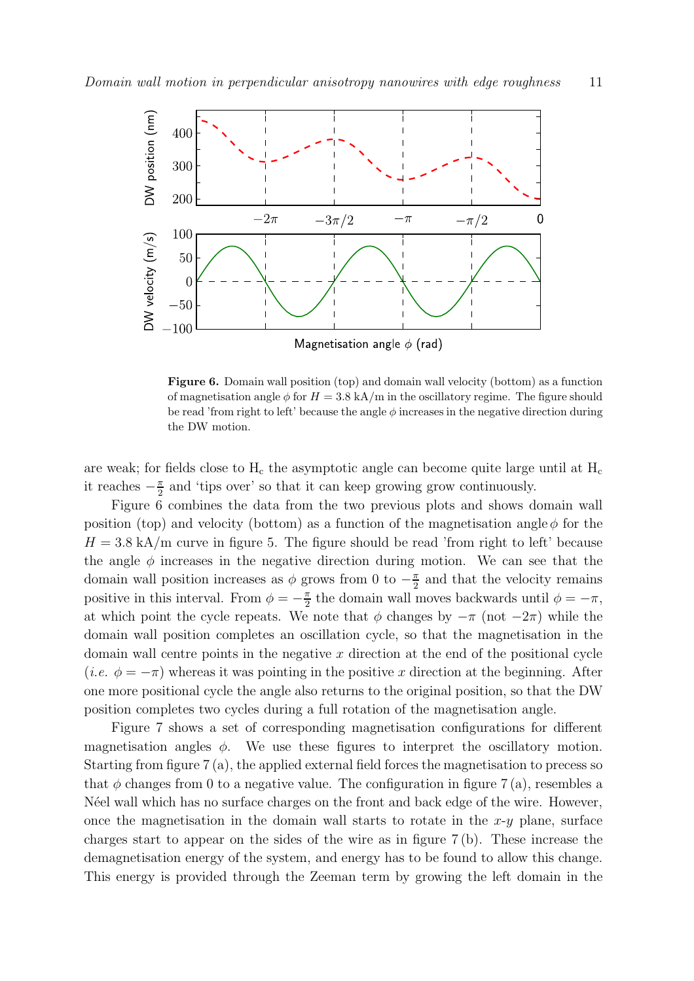

Figure 6. Domain wall position (top) and domain wall velocity (bottom) as a function of magnetisation angle  $\phi$  for  $H = 3.8$  kA/m in the oscillatory regime. The figure should be read 'from right to left' because the angle  $\phi$  increases in the negative direction during the DW motion.

are weak; for fields close to  $H_c$  the asymptotic angle can become quite large until at  $H_c$ it reaches  $-\frac{\pi}{2}$  $\frac{\pi}{2}$  and 'tips over' so that it can keep growing grow continuously.

Figure 6 combines the data from the two previous plots and shows domain wall position (top) and velocity (bottom) as a function of the magnetisation angle  $\phi$  for the  $H = 3.8$  kA/m curve in figure 5. The figure should be read 'from right to left' because the angle  $\phi$  increases in the negative direction during motion. We can see that the domain wall position increases as  $\phi$  grows from 0 to  $-\frac{\pi}{2}$  $\frac{\pi}{2}$  and that the velocity remains positive in this interval. From  $\phi = -\frac{\pi}{2}$  $\frac{\pi}{2}$  the domain wall moves backwards until  $\phi = -\pi$ , at which point the cycle repeats. We note that  $\phi$  changes by  $-\pi$  (not  $-2\pi$ ) while the domain wall position completes an oscillation cycle, so that the magnetisation in the domain wall centre points in the negative  $x$  direction at the end of the positional cycle (*i.e.*  $\phi = -\pi$ ) whereas it was pointing in the positive x direction at the beginning. After one more positional cycle the angle also returns to the original position, so that the DW position completes two cycles during a full rotation of the magnetisation angle.

Figure 7 shows a set of corresponding magnetisation configurations for different magnetisation angles  $\phi$ . We use these figures to interpret the oscillatory motion. Starting from figure 7 (a), the applied external field forces the magnetisation to precess so that  $\phi$  changes from 0 to a negative value. The configuration in figure 7(a), resembles a N'eel wall which has no surface charges on the front and back edge of the wire. However, once the magnetisation in the domain wall starts to rotate in the  $x-y$  plane, surface charges start to appear on the sides of the wire as in figure 7 (b). These increase the demagnetisation energy of the system, and energy has to be found to allow this change. This energy is provided through the Zeeman term by growing the left domain in the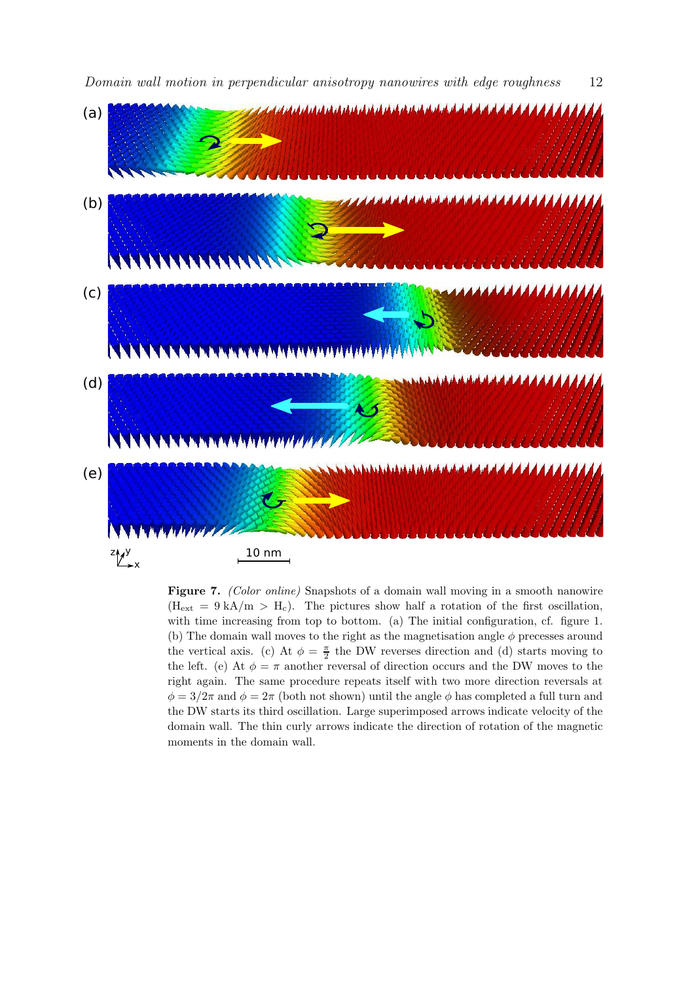

Figure 7. *(Color online)* Snapshots of a domain wall moving in a smooth nanowire  $(H_{ext} = 9 kA/m > H_c)$ . The pictures show half a rotation of the first oscillation, with time increasing from top to bottom. (a) The initial configuration, cf. figure 1. (b) The domain wall moves to the right as the magnetisation angle  $\phi$  precesses around the vertical axis. (c) At  $\phi = \frac{\pi}{2}$  the DW reverses direction and (d) starts moving to the left. (e) At  $\phi = \pi$  another reversal of direction occurs and the DW moves to the right again. The same procedure repeats itself with two more direction reversals at  $\phi = 3/2\pi$  and  $\phi = 2\pi$  (both not shown) until the angle  $\phi$  has completed a full turn and the DW starts its third oscillation. Large superimposed arrows indicate velocity of the domain wall. The thin curly arrows indicate the direction of rotation of the magnetic moments in the domain wall.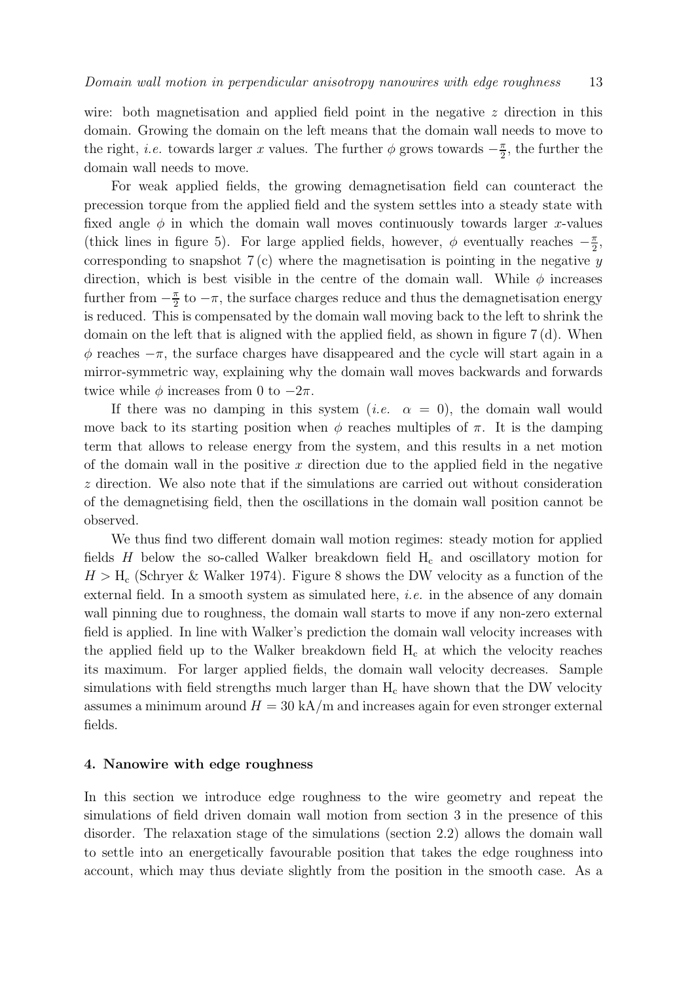wire: both magnetisation and applied field point in the negative  $z$  direction in this domain. Growing the domain on the left means that the domain wall needs to move to the right, *i.e.* towards larger x values. The further  $\phi$  grows towards  $-\frac{\pi}{2}$  $\frac{\pi}{2}$ , the further the domain wall needs to move.

For weak applied fields, the growing demagnetisation field can counteract the precession torque from the applied field and the system settles into a steady state with fixed angle  $\phi$  in which the domain wall moves continuously towards larger x-values (thick lines in figure 5). For large applied fields, however,  $\phi$  eventually reaches  $-\frac{\pi}{2}$  $\frac{\pi}{2}$ corresponding to snapshot  $7(c)$  where the magnetisation is pointing in the negative y direction, which is best visible in the centre of the domain wall. While  $\phi$  increases further from  $-\frac{\pi}{2}$  $\frac{\pi}{2}$  to  $-\pi$ , the surface charges reduce and thus the demagnetisation energy is reduced. This is compensated by the domain wall moving back to the left to shrink the domain on the left that is aligned with the applied field, as shown in figure 7 (d). When  $\phi$  reaches  $-\pi$ , the surface charges have disappeared and the cycle will start again in a mirror-symmetric way, explaining why the domain wall moves backwards and forwards twice while  $\phi$  increases from 0 to  $-2\pi$ .

If there was no damping in this system (*i.e.*  $\alpha = 0$ ), the domain wall would move back to its starting position when  $\phi$  reaches multiples of  $\pi$ . It is the damping term that allows to release energy from the system, and this results in a net motion of the domain wall in the positive  $x$  direction due to the applied field in the negative z direction. We also note that if the simulations are carried out without consideration of the demagnetising field, then the oscillations in the domain wall position cannot be observed.

We thus find two different domain wall motion regimes: steady motion for applied fields  $H$  below the so-called Walker breakdown field  $H_c$  and oscillatory motion for  $H > H_c$  (Schryer & Walker 1974). Figure 8 shows the DW velocity as a function of the external field. In a smooth system as simulated here, *i.e.* in the absence of any domain wall pinning due to roughness, the domain wall starts to move if any non-zero external field is applied. In line with Walker's prediction the domain wall velocity increases with the applied field up to the Walker breakdown field  $H_c$  at which the velocity reaches its maximum. For larger applied fields, the domain wall velocity decreases. Sample simulations with field strengths much larger than  $H_c$  have shown that the DW velocity assumes a minimum around  $H = 30 \text{ kA/m}$  and increases again for even stronger external fields.

# 4. Nanowire with edge roughness

In this section we introduce edge roughness to the wire geometry and repeat the simulations of field driven domain wall motion from section 3 in the presence of this disorder. The relaxation stage of the simulations (section 2.2) allows the domain wall to settle into an energetically favourable position that takes the edge roughness into account, which may thus deviate slightly from the position in the smooth case. As a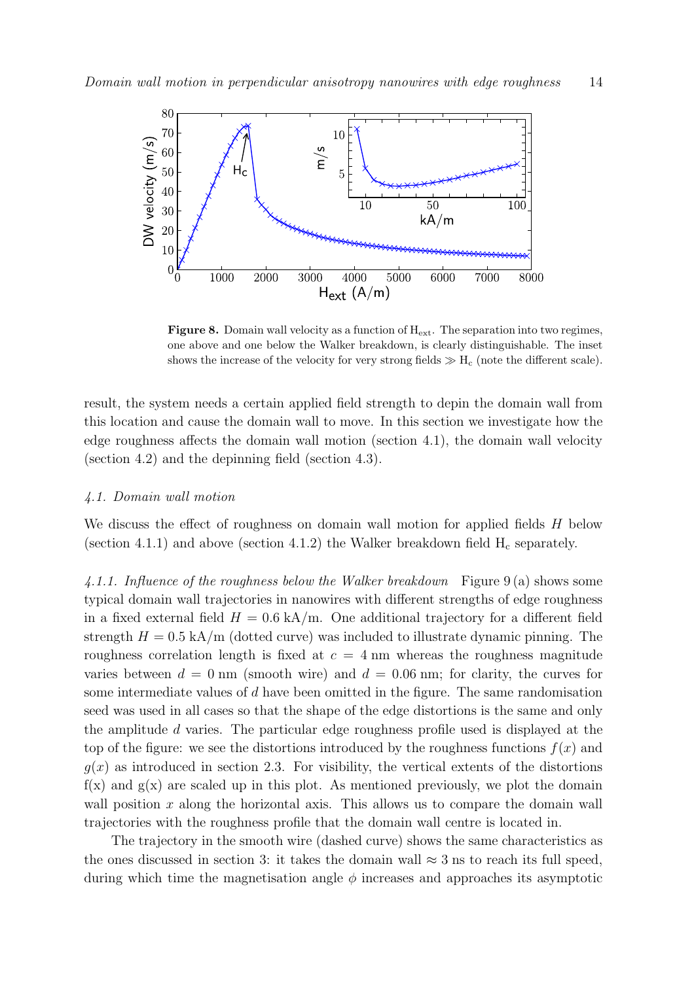

**Figure 8.** Domain wall velocity as a function of  $H_{ext}$ . The separation into two regimes, one above and one below the Walker breakdown, is clearly distinguishable. The inset shows the increase of the velocity for very strong fields  $\gg H_c$  (note the different scale).

result, the system needs a certain applied field strength to depin the domain wall from this location and cause the domain wall to move. In this section we investigate how the edge roughness affects the domain wall motion (section 4.1), the domain wall velocity (section 4.2) and the depinning field (section 4.3).

#### 4.1. Domain wall motion

We discuss the effect of roughness on domain wall motion for applied fields  $H$  below (section 4.1.1) and above (section 4.1.2) the Walker breakdown field  $H_c$  separately.

4.1.1. Influence of the roughness below the Walker breakdown Figure 9 (a) shows some typical domain wall trajectories in nanowires with different strengths of edge roughness in a fixed external field  $H = 0.6$  kA/m. One additional trajectory for a different field strength  $H = 0.5$  kA/m (dotted curve) was included to illustrate dynamic pinning. The roughness correlation length is fixed at  $c = 4$  nm whereas the roughness magnitude varies between  $d = 0$  nm (smooth wire) and  $d = 0.06$  nm; for clarity, the curves for some intermediate values of d have been omitted in the figure. The same randomisation seed was used in all cases so that the shape of the edge distortions is the same and only the amplitude d varies. The particular edge roughness profile used is displayed at the top of the figure: we see the distortions introduced by the roughness functions  $f(x)$  and  $q(x)$  as introduced in section 2.3. For visibility, the vertical extents of the distortions  $f(x)$  and  $g(x)$  are scaled up in this plot. As mentioned previously, we plot the domain wall position  $x$  along the horizontal axis. This allows us to compare the domain wall trajectories with the roughness profile that the domain wall centre is located in.

The trajectory in the smooth wire (dashed curve) shows the same characteristics as the ones discussed in section 3: it takes the domain wall  $\approx$  3 ns to reach its full speed, during which time the magnetisation angle  $\phi$  increases and approaches its asymptotic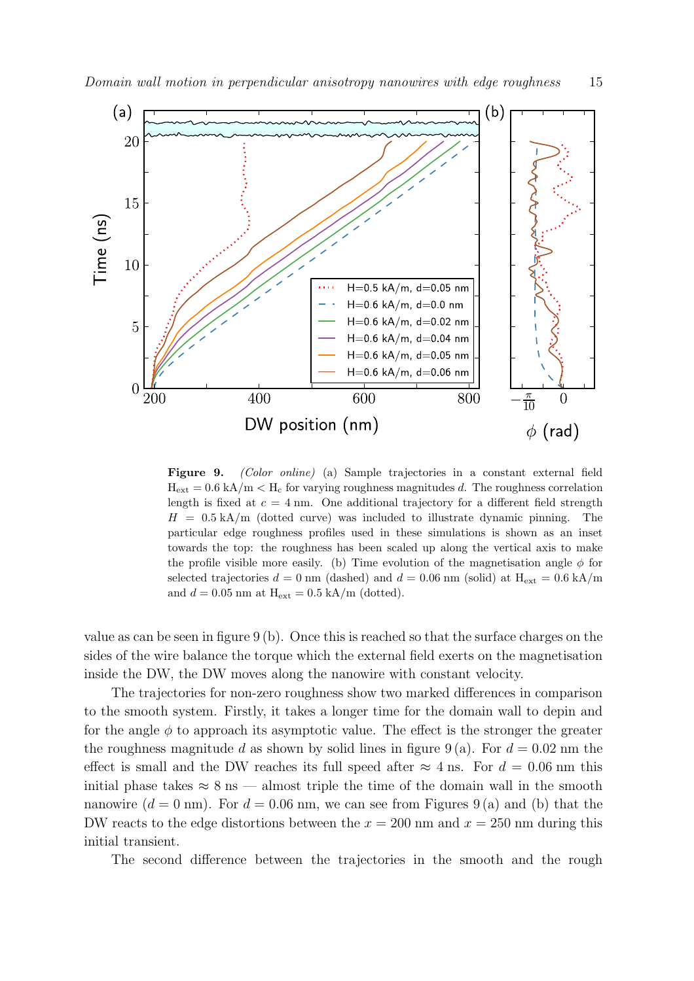

Figure 9. *(Color online)* (a) Sample trajectories in a constant external field  $H_{ext} = 0.6$  kA/m  $\lt H_c$  for varying roughness magnitudes d. The roughness correlation length is fixed at  $c = 4$  nm. One additional trajectory for a different field strength  $H = 0.5 \text{ kA/m}$  (dotted curve) was included to illustrate dynamic pinning. The particular edge roughness profiles used in these simulations is shown as an inset towards the top: the roughness has been scaled up along the vertical axis to make the profile visible more easily. (b) Time evolution of the magnetisation angle  $\phi$  for selected trajectories  $d = 0$  nm (dashed) and  $d = 0.06$  nm (solid) at  $H_{ext} = 0.6$  kA/m and  $d = 0.05$  nm at  $H_{ext} = 0.5$  kA/m (dotted).

value as can be seen in figure 9 (b). Once this is reached so that the surface charges on the sides of the wire balance the torque which the external field exerts on the magnetisation inside the DW, the DW moves along the nanowire with constant velocity.

The trajectories for non-zero roughness show two marked differences in comparison to the smooth system. Firstly, it takes a longer time for the domain wall to depin and for the angle  $\phi$  to approach its asymptotic value. The effect is the stronger the greater the roughness magnitude d as shown by solid lines in figure 9(a). For  $d = 0.02$  nm the effect is small and the DW reaches its full speed after  $\approx 4$  ns. For  $d = 0.06$  nm this initial phase takes  $\approx 8 \text{ ns}$  — almost triple the time of the domain wall in the smooth nanowire  $(d = 0 \text{ nm})$ . For  $d = 0.06 \text{ nm}$ , we can see from Figures 9(a) and (b) that the DW reacts to the edge distortions between the  $x = 200$  nm and  $x = 250$  nm during this initial transient.

The second difference between the trajectories in the smooth and the rough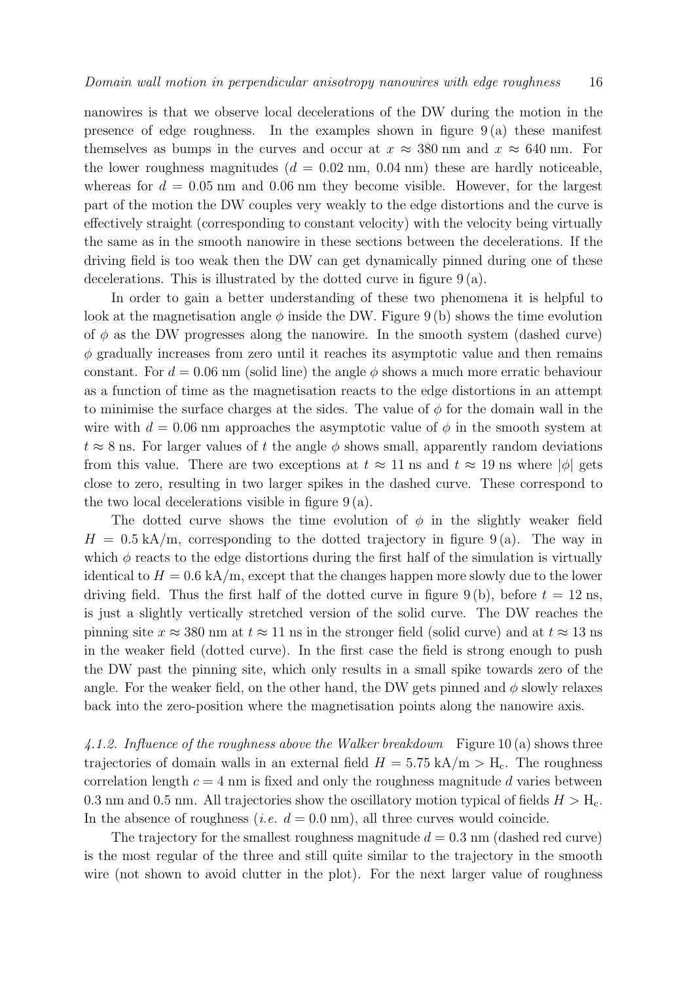nanowires is that we observe local decelerations of the DW during the motion in the presence of edge roughness. In the examples shown in figure 9 (a) these manifest themselves as bumps in the curves and occur at  $x \approx 380$  nm and  $x \approx 640$  nm. For the lower roughness magnitudes  $(d = 0.02$  nm,  $(0.04)$  nm these are hardly noticeable, whereas for  $d = 0.05$  nm and 0.06 nm they become visible. However, for the largest part of the motion the DW couples very weakly to the edge distortions and the curve is effectively straight (corresponding to constant velocity) with the velocity being virtually the same as in the smooth nanowire in these sections between the decelerations. If the driving field is too weak then the DW can get dynamically pinned during one of these decelerations. This is illustrated by the dotted curve in figure  $9(a)$ .

In order to gain a better understanding of these two phenomena it is helpful to look at the magnetisation angle  $\phi$  inside the DW. Figure 9(b) shows the time evolution of  $\phi$  as the DW progresses along the nanowire. In the smooth system (dashed curve)  $\phi$  gradually increases from zero until it reaches its asymptotic value and then remains constant. For  $d = 0.06$  nm (solid line) the angle  $\phi$  shows a much more erratic behaviour as a function of time as the magnetisation reacts to the edge distortions in an attempt to minimise the surface charges at the sides. The value of  $\phi$  for the domain wall in the wire with  $d = 0.06$  nm approaches the asymptotic value of  $\phi$  in the smooth system at  $t \approx 8$  ns. For larger values of t the angle  $\phi$  shows small, apparently random deviations from this value. There are two exceptions at  $t \approx 11$  ns and  $t \approx 19$  ns where  $|\phi|$  gets close to zero, resulting in two larger spikes in the dashed curve. These correspond to the two local decelerations visible in figure  $9(a)$ .

The dotted curve shows the time evolution of  $\phi$  in the slightly weaker field  $H = 0.5 \text{ kA/m}$ , corresponding to the dotted trajectory in figure 9(a). The way in which  $\phi$  reacts to the edge distortions during the first half of the simulation is virtually identical to  $H = 0.6$  kA/m, except that the changes happen more slowly due to the lower driving field. Thus the first half of the dotted curve in figure 9(b), before  $t = 12$  ns, is just a slightly vertically stretched version of the solid curve. The DW reaches the pinning site  $x \approx 380$  nm at  $t \approx 11$  ns in the stronger field (solid curve) and at  $t \approx 13$  ns in the weaker field (dotted curve). In the first case the field is strong enough to push the DW past the pinning site, which only results in a small spike towards zero of the angle. For the weaker field, on the other hand, the DW gets pinned and  $\phi$  slowly relaxes back into the zero-position where the magnetisation points along the nanowire axis.

4.1.2. Influence of the roughness above the Walker breakdown Figure 10(a) shows three trajectories of domain walls in an external field  $H = 5.75$  kA/m  $>$  H<sub>c</sub>. The roughness correlation length  $c = 4$  nm is fixed and only the roughness magnitude d varies between 0.3 nm and 0.5 nm. All trajectories show the oscillatory motion typical of fields  $H > H_c$ . In the absence of roughness (*i.e.*  $d = 0.0$  nm), all three curves would coincide.

The trajectory for the smallest roughness magnitude  $d = 0.3$  nm (dashed red curve) is the most regular of the three and still quite similar to the trajectory in the smooth wire (not shown to avoid clutter in the plot). For the next larger value of roughness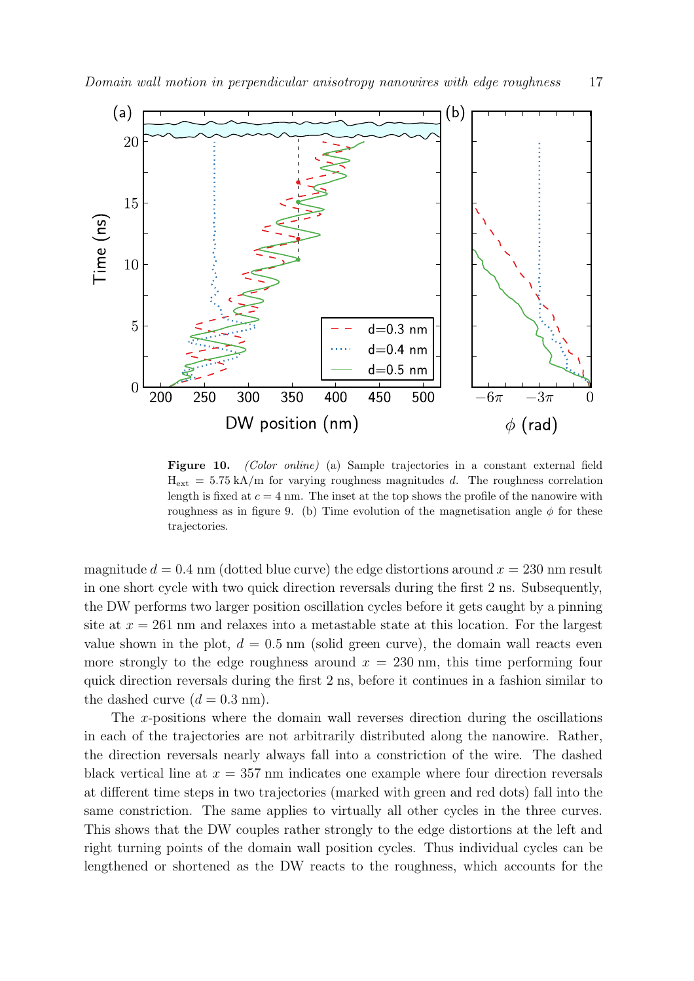

Figure 10. *(Color online)* (a) Sample trajectories in a constant external field  $H_{ext} = 5.75 \text{ kA/m}$  for varying roughness magnitudes d. The roughness correlation length is fixed at  $c = 4$  nm. The inset at the top shows the profile of the nanowire with roughness as in figure 9. (b) Time evolution of the magnetisation angle  $\phi$  for these trajectories.

magnitude  $d = 0.4$  nm (dotted blue curve) the edge distortions around  $x = 230$  nm result in one short cycle with two quick direction reversals during the first 2 ns. Subsequently, the DW performs two larger position oscillation cycles before it gets caught by a pinning site at  $x = 261$  nm and relaxes into a metastable state at this location. For the largest value shown in the plot,  $d = 0.5$  nm (solid green curve), the domain wall reacts even more strongly to the edge roughness around  $x = 230$  nm, this time performing four quick direction reversals during the first 2 ns, before it continues in a fashion similar to the dashed curve  $(d = 0.3 \text{ nm})$ .

The x-positions where the domain wall reverses direction during the oscillations in each of the trajectories are not arbitrarily distributed along the nanowire. Rather, the direction reversals nearly always fall into a constriction of the wire. The dashed black vertical line at  $x = 357$  nm indicates one example where four direction reversals at different time steps in two trajectories (marked with green and red dots) fall into the same constriction. The same applies to virtually all other cycles in the three curves. This shows that the DW couples rather strongly to the edge distortions at the left and right turning points of the domain wall position cycles. Thus individual cycles can be lengthened or shortened as the DW reacts to the roughness, which accounts for the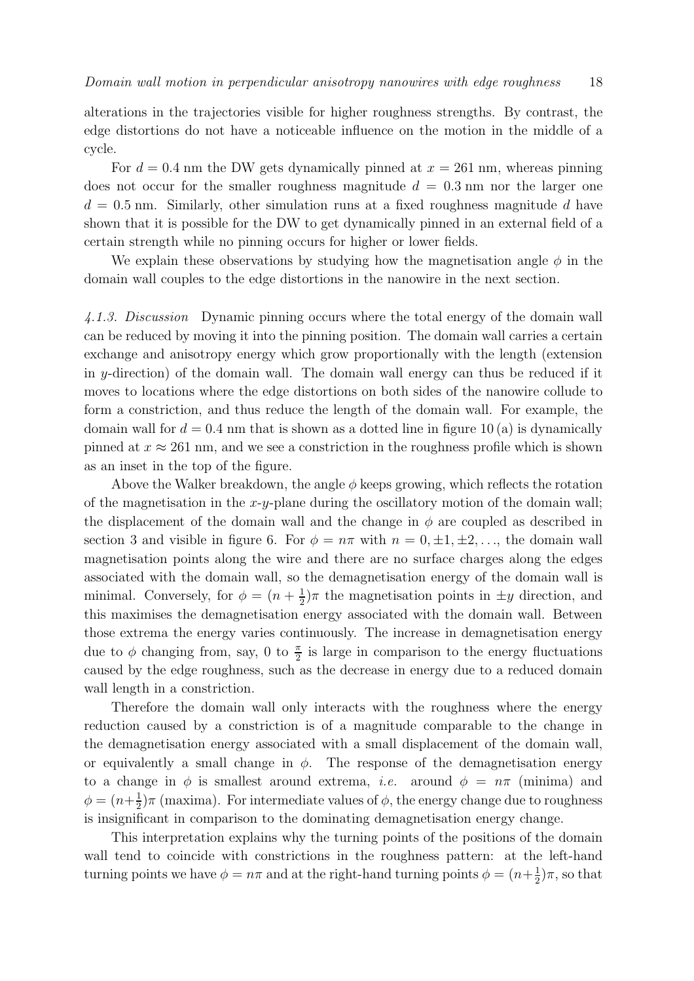alterations in the trajectories visible for higher roughness strengths. By contrast, the edge distortions do not have a noticeable influence on the motion in the middle of a cycle.

For  $d = 0.4$  nm the DW gets dynamically pinned at  $x = 261$  nm, whereas pinning does not occur for the smaller roughness magnitude  $d = 0.3$  nm nor the larger one  $d = 0.5$  nm. Similarly, other simulation runs at a fixed roughness magnitude d have shown that it is possible for the DW to get dynamically pinned in an external field of a certain strength while no pinning occurs for higher or lower fields.

We explain these observations by studying how the magnetisation angle  $\phi$  in the domain wall couples to the edge distortions in the nanowire in the next section.

4.1.3. Discussion Dynamic pinning occurs where the total energy of the domain wall can be reduced by moving it into the pinning position. The domain wall carries a certain exchange and anisotropy energy which grow proportionally with the length (extension in y-direction) of the domain wall. The domain wall energy can thus be reduced if it moves to locations where the edge distortions on both sides of the nanowire collude to form a constriction, and thus reduce the length of the domain wall. For example, the domain wall for  $d = 0.4$  nm that is shown as a dotted line in figure 10 (a) is dynamically pinned at  $x \approx 261$  nm, and we see a constriction in the roughness profile which is shown as an inset in the top of the figure.

Above the Walker breakdown, the angle  $\phi$  keeps growing, which reflects the rotation of the magnetisation in the x-y-plane during the oscillatory motion of the domain wall; the displacement of the domain wall and the change in  $\phi$  are coupled as described in section 3 and visible in figure 6. For  $\phi = n\pi$  with  $n = 0, \pm 1, \pm 2, \ldots$ , the domain wall magnetisation points along the wire and there are no surface charges along the edges associated with the domain wall, so the demagnetisation energy of the domain wall is minimal. Conversely, for  $\phi = (n + \frac{1}{2})$  $\frac{1}{2}$ ) $\pi$  the magnetisation points in  $\pm y$  direction, and this maximises the demagnetisation energy associated with the domain wall. Between those extrema the energy varies continuously. The increase in demagnetisation energy due to  $\phi$  changing from, say, 0 to  $\frac{\pi}{2}$  is large in comparison to the energy fluctuations caused by the edge roughness, such as the decrease in energy due to a reduced domain wall length in a constriction.

Therefore the domain wall only interacts with the roughness where the energy reduction caused by a constriction is of a magnitude comparable to the change in the demagnetisation energy associated with a small displacement of the domain wall, or equivalently a small change in  $\phi$ . The response of the demagnetisation energy to a change in  $\phi$  is smallest around extrema, *i.e.* around  $\phi = n\pi$  (minima) and  $\phi = (n + \frac{1}{2})$  $\frac{1}{2}$ ) $\pi$  (maxima). For intermediate values of  $\phi$ , the energy change due to roughness is insignificant in comparison to the dominating demagnetisation energy change.

This interpretation explains why the turning points of the positions of the domain wall tend to coincide with constrictions in the roughness pattern: at the left-hand turning points we have  $\phi = n\pi$  and at the right-hand turning points  $\phi = (n + \frac{1}{2})$  $(\frac{1}{2})\pi$ , so that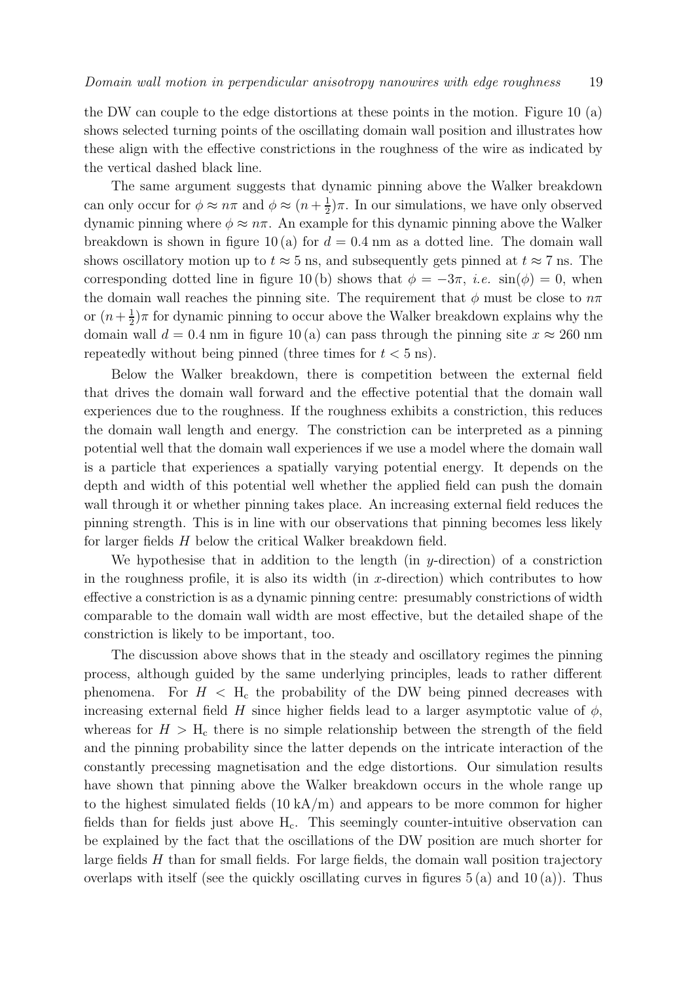the DW can couple to the edge distortions at these points in the motion. Figure 10 (a) shows selected turning points of the oscillating domain wall position and illustrates how these align with the effective constrictions in the roughness of the wire as indicated by the vertical dashed black line.

The same argument suggests that dynamic pinning above the Walker breakdown can only occur for  $\phi \approx n\pi$  and  $\phi \approx (n + \frac{1}{2})$  $\frac{1}{2}$ ) $\pi$ . In our simulations, we have only observed dynamic pinning where  $\phi \approx n\pi$ . An example for this dynamic pinning above the Walker breakdown is shown in figure 10 (a) for  $d = 0.4$  nm as a dotted line. The domain wall shows oscillatory motion up to  $t \approx 5$  ns, and subsequently gets pinned at  $t \approx 7$  ns. The corresponding dotted line in figure 10 (b) shows that  $\phi = -3\pi$ , *i.e.* sin( $\phi$ ) = 0, when the domain wall reaches the pinning site. The requirement that  $\phi$  must be close to  $n\pi$ or  $(n+\frac{1}{2})$  $\frac{1}{2}$ ) $\pi$  for dynamic pinning to occur above the Walker breakdown explains why the domain wall  $d = 0.4$  nm in figure 10(a) can pass through the pinning site  $x \approx 260$  nm repeatedly without being pinned (three times for  $t < 5$  ns).

Below the Walker breakdown, there is competition between the external field that drives the domain wall forward and the effective potential that the domain wall experiences due to the roughness. If the roughness exhibits a constriction, this reduces the domain wall length and energy. The constriction can be interpreted as a pinning potential well that the domain wall experiences if we use a model where the domain wall is a particle that experiences a spatially varying potential energy. It depends on the depth and width of this potential well whether the applied field can push the domain wall through it or whether pinning takes place. An increasing external field reduces the pinning strength. This is in line with our observations that pinning becomes less likely for larger fields H below the critical Walker breakdown field.

We hypothesise that in addition to the length (in  $y$ -direction) of a constriction in the roughness profile, it is also its width (in  $x$ -direction) which contributes to how effective a constriction is as a dynamic pinning centre: presumably constrictions of width comparable to the domain wall width are most effective, but the detailed shape of the constriction is likely to be important, too.

The discussion above shows that in the steady and oscillatory regimes the pinning process, although guided by the same underlying principles, leads to rather different phenomena. For  $H < H_c$  the probability of the DW being pinned decreases with increasing external field H since higher fields lead to a larger asymptotic value of  $\phi$ , whereas for  $H > H_c$  there is no simple relationship between the strength of the field and the pinning probability since the latter depends on the intricate interaction of the constantly precessing magnetisation and the edge distortions. Our simulation results have shown that pinning above the Walker breakdown occurs in the whole range up to the highest simulated fields  $(10 \text{ kA/m})$  and appears to be more common for higher fields than for fields just above  $H<sub>c</sub>$ . This seemingly counter-intuitive observation can be explained by the fact that the oscillations of the DW position are much shorter for large fields  $H$  than for small fields. For large fields, the domain wall position trajectory overlaps with itself (see the quickly oscillating curves in figures  $5(a)$  and  $10(a)$ ). Thus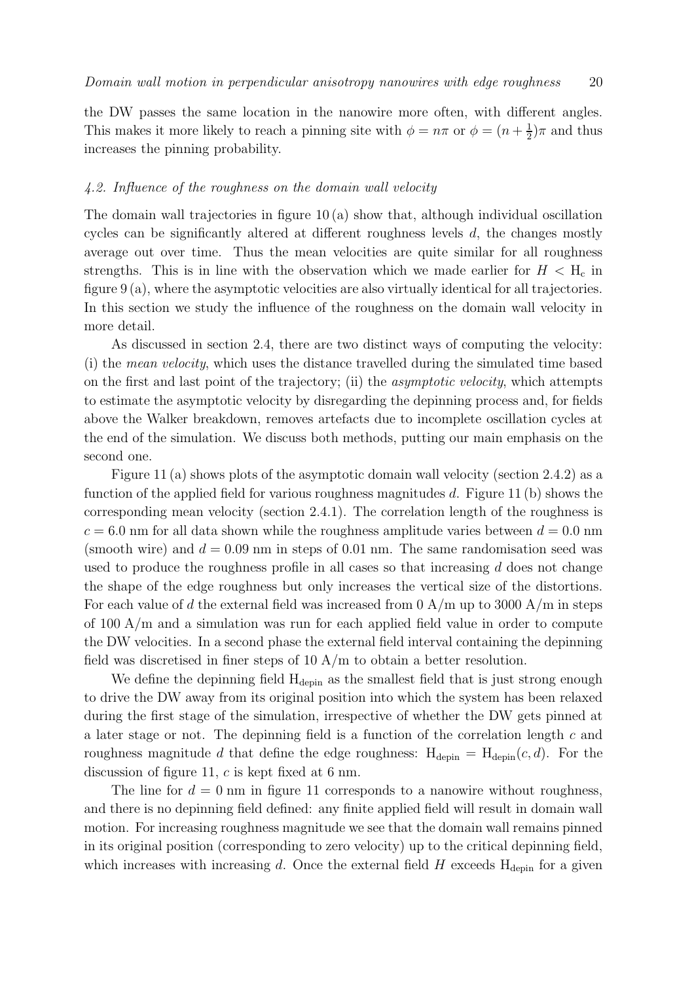the DW passes the same location in the nanowire more often, with different angles. This makes it more likely to reach a pinning site with  $\phi = n\pi$  or  $\phi = (n + \frac{1}{2})$  $(\frac{1}{2})\pi$  and thus increases the pinning probability.

# 4.2. Influence of the roughness on the domain wall velocity

The domain wall trajectories in figure 10 (a) show that, although individual oscillation cycles can be significantly altered at different roughness levels  $d$ , the changes mostly average out over time. Thus the mean velocities are quite similar for all roughness strengths. This is in line with the observation which we made earlier for  $H < H<sub>c</sub>$  in figure 9 (a), where the asymptotic velocities are also virtually identical for all trajectories. In this section we study the influence of the roughness on the domain wall velocity in more detail.

As discussed in section 2.4, there are two distinct ways of computing the velocity: (i) the mean velocity, which uses the distance travelled during the simulated time based on the first and last point of the trajectory; (ii) the asymptotic velocity, which attempts to estimate the asymptotic velocity by disregarding the depinning process and, for fields above the Walker breakdown, removes artefacts due to incomplete oscillation cycles at the end of the simulation. We discuss both methods, putting our main emphasis on the second one.

Figure 11 (a) shows plots of the asymptotic domain wall velocity (section 2.4.2) as a function of the applied field for various roughness magnitudes  $d$ . Figure 11 (b) shows the corresponding mean velocity (section 2.4.1). The correlation length of the roughness is  $c = 6.0$  nm for all data shown while the roughness amplitude varies between  $d = 0.0$  nm (smooth wire) and  $d = 0.09$  nm in steps of 0.01 nm. The same randomisation seed was used to produce the roughness profile in all cases so that increasing  $d$  does not change the shape of the edge roughness but only increases the vertical size of the distortions. For each value of d the external field was increased from  $0 \text{ A/m}$  up to 3000 A/m in steps of 100 A/m and a simulation was run for each applied field value in order to compute the DW velocities. In a second phase the external field interval containing the depinning field was discretised in finer steps of 10 A/m to obtain a better resolution.

We define the depinning field  $H_{\text{depin}}$  as the smallest field that is just strong enough to drive the DW away from its original position into which the system has been relaxed during the first stage of the simulation, irrespective of whether the DW gets pinned at a later stage or not. The depinning field is a function of the correlation length c and roughness magnitude d that define the edge roughness:  $H_{\text{depin}} = H_{\text{depin}}(c, d)$ . For the discussion of figure 11, c is kept fixed at 6 nm.

The line for  $d = 0$  nm in figure 11 corresponds to a nanowire without roughness, and there is no depinning field defined: any finite applied field will result in domain wall motion. For increasing roughness magnitude we see that the domain wall remains pinned in its original position (corresponding to zero velocity) up to the critical depinning field, which increases with increasing d. Once the external field  $H$  exceeds  $H_{\text{depin}}$  for a given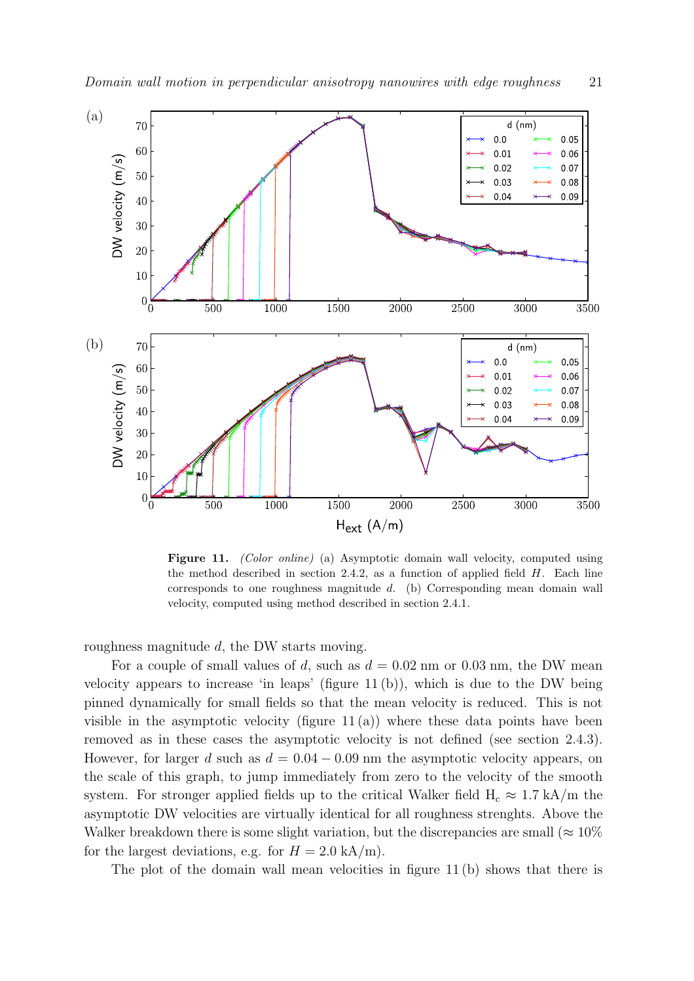

Figure 11. *(Color online)* (a) Asymptotic domain wall velocity, computed using the method described in section 2.4.2, as a function of applied field  $H$ . Each line corresponds to one roughness magnitude  $d$ . (b) Corresponding mean domain wall velocity, computed using method described in section 2.4.1.

roughness magnitude d, the DW starts moving.

For a couple of small values of d, such as  $d = 0.02$  nm or 0.03 nm, the DW mean velocity appears to increase 'in leaps' (figure 11 (b)), which is due to the DW being pinned dynamically for small fields so that the mean velocity is reduced. This is not visible in the asymptotic velocity (figure  $11(a)$ ) where these data points have been removed as in these cases the asymptotic velocity is not defined (see section 2.4.3). However, for larger d such as  $d = 0.04 - 0.09$  nm the asymptotic velocity appears, on the scale of this graph, to jump immediately from zero to the velocity of the smooth system. For stronger applied fields up to the critical Walker field  $H_c \approx 1.7 \text{ kA/m}$  the asymptotic DW velocities are virtually identical for all roughness strenghts. Above the Walker breakdown there is some slight variation, but the discrepancies are small ( $\approx 10\%$ ) for the largest deviations, e.g. for  $H = 2.0$  kA/m).

The plot of the domain wall mean velocities in figure 11 (b) shows that there is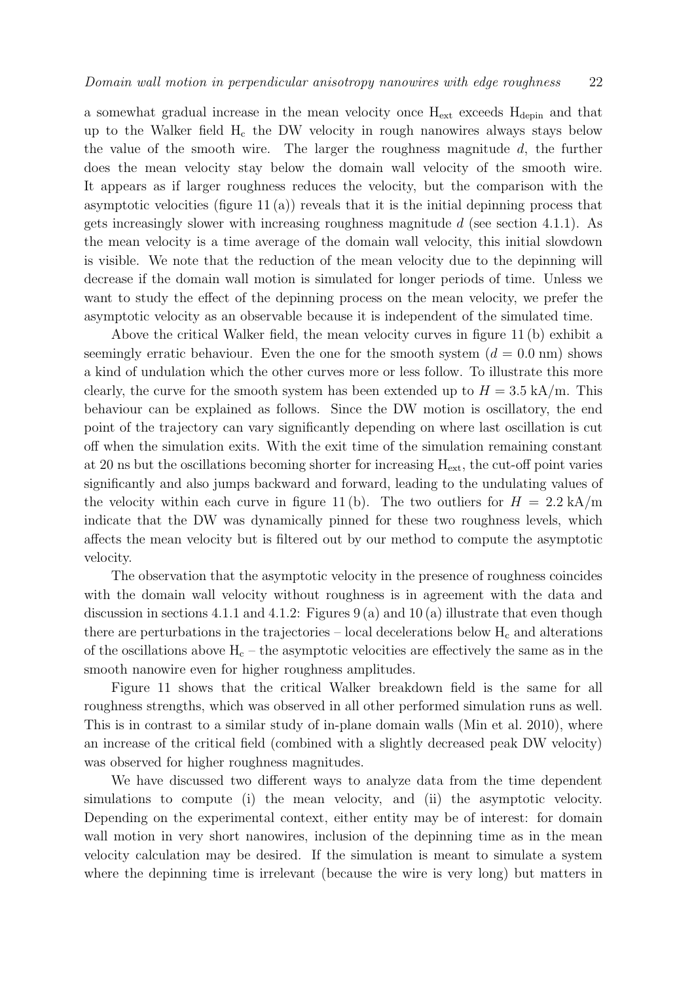a somewhat gradual increase in the mean velocity once  $H_{ext}$  exceeds  $H_{depin}$  and that up to the Walker field  $H_c$  the DW velocity in rough nanowires always stays below the value of the smooth wire. The larger the roughness magnitude  $d$ , the further does the mean velocity stay below the domain wall velocity of the smooth wire. It appears as if larger roughness reduces the velocity, but the comparison with the asymptotic velocities (figure 11 (a)) reveals that it is the initial depinning process that gets increasingly slower with increasing roughness magnitude  $d$  (see section 4.1.1). As the mean velocity is a time average of the domain wall velocity, this initial slowdown is visible. We note that the reduction of the mean velocity due to the depinning will decrease if the domain wall motion is simulated for longer periods of time. Unless we want to study the effect of the depinning process on the mean velocity, we prefer the asymptotic velocity as an observable because it is independent of the simulated time.

Above the critical Walker field, the mean velocity curves in figure 11 (b) exhibit a seemingly erratic behaviour. Even the one for the smooth system  $(d = 0.0 \text{ nm})$  shows a kind of undulation which the other curves more or less follow. To illustrate this more clearly, the curve for the smooth system has been extended up to  $H = 3.5 \text{ kA/m}$ . This behaviour can be explained as follows. Since the DW motion is oscillatory, the end point of the trajectory can vary significantly depending on where last oscillation is cut off when the simulation exits. With the exit time of the simulation remaining constant at 20 ns but the oscillations becoming shorter for increasing  $H_{ext}$ , the cut-off point varies significantly and also jumps backward and forward, leading to the undulating values of the velocity within each curve in figure 11 (b). The two outliers for  $H = 2.2$  kA/m indicate that the DW was dynamically pinned for these two roughness levels, which affects the mean velocity but is filtered out by our method to compute the asymptotic velocity.

The observation that the asymptotic velocity in the presence of roughness coincides with the domain wall velocity without roughness is in agreement with the data and discussion in sections 4.1.1 and 4.1.2: Figures  $9(a)$  and  $10(a)$  illustrate that even though there are perturbations in the trajectories – local decelerations below  $H_c$  and alterations of the oscillations above  $H_c$  – the asymptotic velocities are effectively the same as in the smooth nanowire even for higher roughness amplitudes.

Figure 11 shows that the critical Walker breakdown field is the same for all roughness strengths, which was observed in all other performed simulation runs as well. This is in contrast to a similar study of in-plane domain walls (Min et al. 2010), where an increase of the critical field (combined with a slightly decreased peak DW velocity) was observed for higher roughness magnitudes.

We have discussed two different ways to analyze data from the time dependent simulations to compute (i) the mean velocity, and (ii) the asymptotic velocity. Depending on the experimental context, either entity may be of interest: for domain wall motion in very short nanowires, inclusion of the depinning time as in the mean velocity calculation may be desired. If the simulation is meant to simulate a system where the depinning time is irrelevant (because the wire is very long) but matters in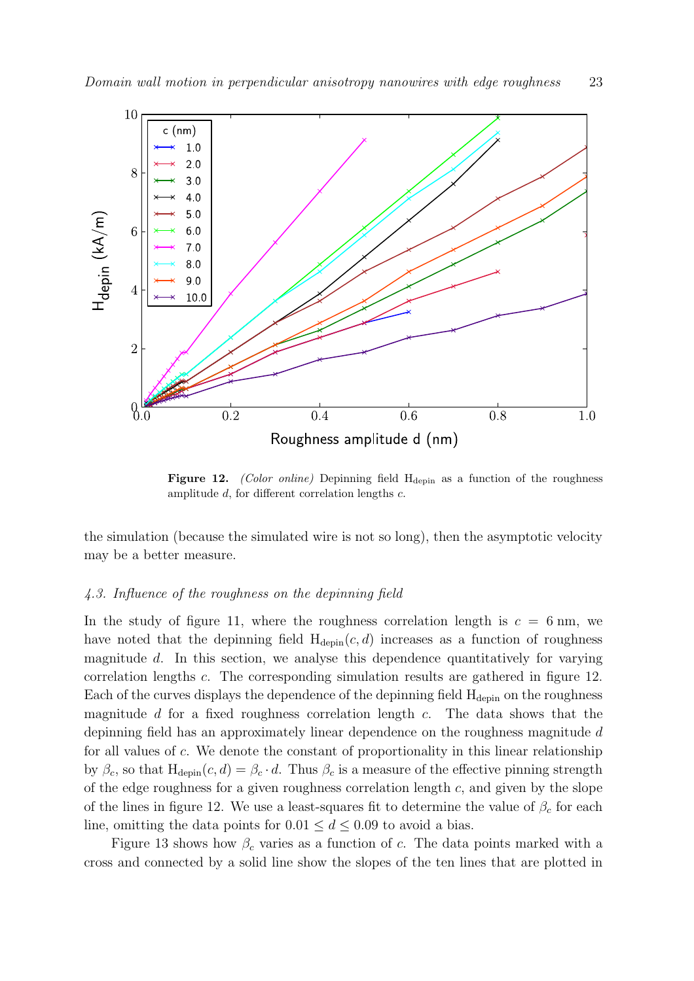

Figure 12. *(Color online)* Depinning field H<sub>depin</sub> as a function of the roughness amplitude d, for different correlation lengths c.

the simulation (because the simulated wire is not so long), then the asymptotic velocity may be a better measure.

#### 4.3. Influence of the roughness on the depinning field

In the study of figure 11, where the roughness correlation length is  $c = 6$  nm, we have noted that the depinning field  $H_{\text{depin}}(c, d)$  increases as a function of roughness magnitude d. In this section, we analyse this dependence quantitatively for varying correlation lengths c. The corresponding simulation results are gathered in figure 12. Each of the curves displays the dependence of the depinning field  $H_{\text{depin}}$  on the roughness magnitude d for a fixed roughness correlation length c. The data shows that the depinning field has an approximately linear dependence on the roughness magnitude d for all values of c. We denote the constant of proportionality in this linear relationship by  $\beta_c$ , so that  $H_{\text{depin}}(c, d) = \beta_c \cdot d$ . Thus  $\beta_c$  is a measure of the effective pinning strength of the edge roughness for a given roughness correlation length  $c$ , and given by the slope of the lines in figure 12. We use a least-squares fit to determine the value of  $\beta_c$  for each line, omitting the data points for  $0.01 \le d \le 0.09$  to avoid a bias.

Figure 13 shows how  $\beta_c$  varies as a function of c. The data points marked with a cross and connected by a solid line show the slopes of the ten lines that are plotted in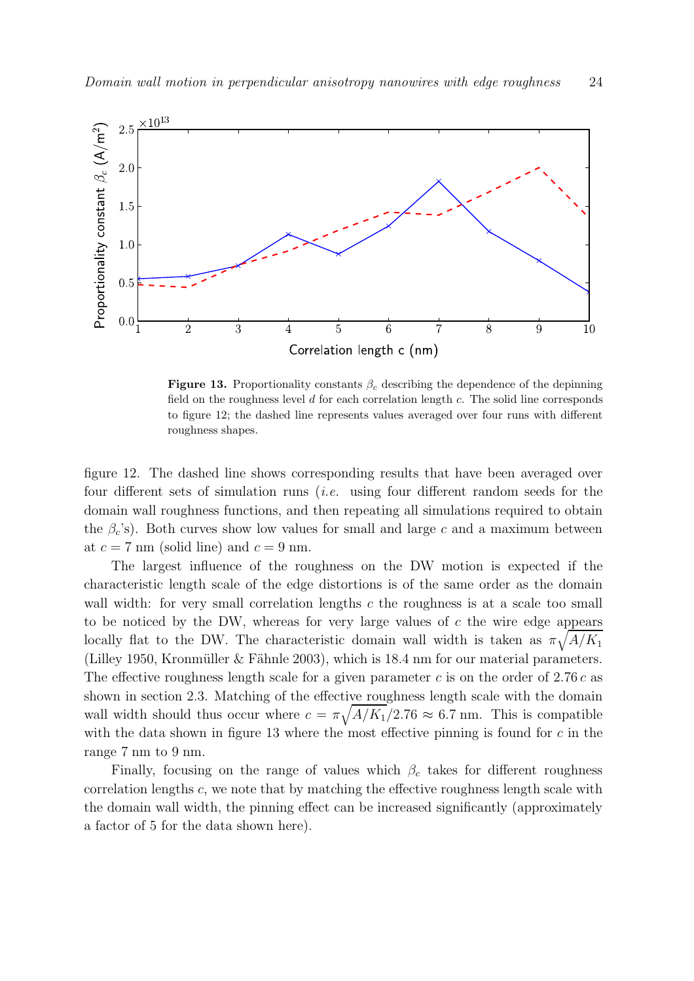

**Figure 13.** Proportionality constants  $\beta_c$  describing the dependence of the depinning field on the roughness level  $d$  for each correlation length  $c$ . The solid line corresponds to figure 12; the dashed line represents values averaged over four runs with different roughness shapes.

figure 12. The dashed line shows corresponding results that have been averaged over four different sets of simulation runs (i.e. using four different random seeds for the domain wall roughness functions, and then repeating all simulations required to obtain the  $\beta_c$ 's). Both curves show low values for small and large c and a maximum between at  $c = 7$  nm (solid line) and  $c = 9$  nm.

The largest influence of the roughness on the DW motion is expected if the characteristic length scale of the edge distortions is of the same order as the domain wall width: for very small correlation lengths  $c$  the roughness is at a scale too small to be noticed by the DW, whereas for very large values of  $c$  the wire edge appears locally flat to the DW. The characteristic domain wall width is taken as  $\pi \sqrt{A/K_1}$ (Lilley 1950, Kronmüller & Fähnle 2003), which is  $18.4 \text{ nm}$  for our material parameters. The effective roughness length scale for a given parameter c is on the order of 2.76 c as shown in section 2.3. Matching of the effective roughness length scale with the domain wall width should thus occur where  $c = \pi \sqrt{A/K_1/2.76} \approx 6.7$  nm. This is compatible with the data shown in figure 13 where the most effective pinning is found for  $c$  in the range 7 nm to 9 nm.

Finally, focusing on the range of values which  $\beta_c$  takes for different roughness correlation lengths  $c$ , we note that by matching the effective roughness length scale with the domain wall width, the pinning effect can be increased significantly (approximately a factor of 5 for the data shown here).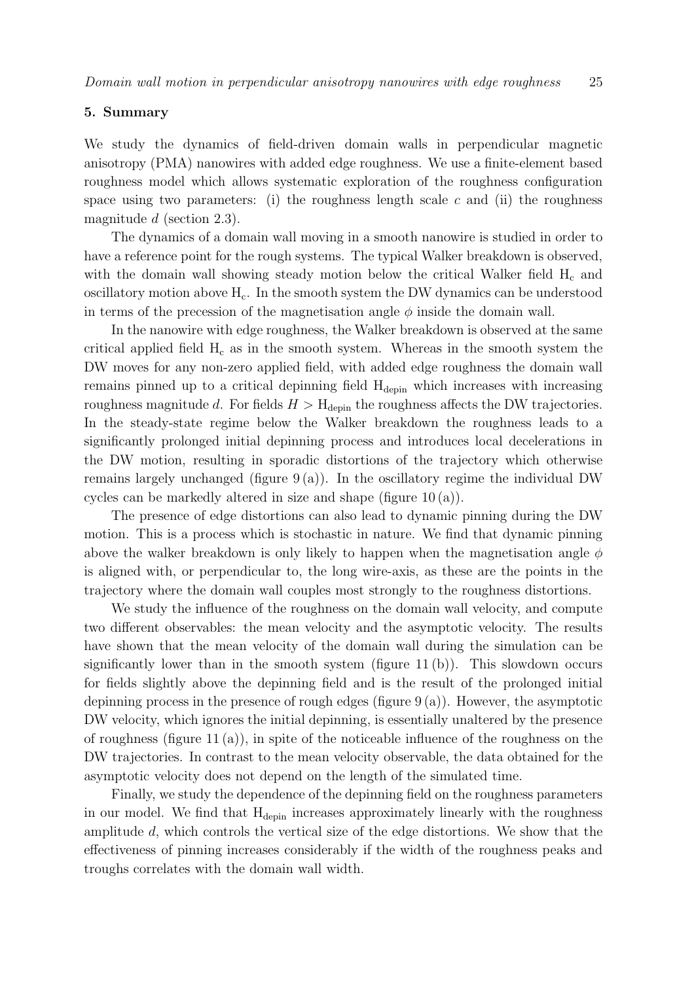#### 5. Summary

We study the dynamics of field-driven domain walls in perpendicular magnetic anisotropy (PMA) nanowires with added edge roughness. We use a finite-element based roughness model which allows systematic exploration of the roughness configuration space using two parameters: (i) the roughness length scale  $c$  and (ii) the roughness magnitude d (section 2.3).

The dynamics of a domain wall moving in a smooth nanowire is studied in order to have a reference point for the rough systems. The typical Walker breakdown is observed, with the domain wall showing steady motion below the critical Walker field  $H_c$  and oscillatory motion above  $H_c$ . In the smooth system the DW dynamics can be understood in terms of the precession of the magnetisation angle  $\phi$  inside the domain wall.

In the nanowire with edge roughness, the Walker breakdown is observed at the same critical applied field  $H_c$  as in the smooth system. Whereas in the smooth system the DW moves for any non-zero applied field, with added edge roughness the domain wall remains pinned up to a critical depinning field H<sub>depin</sub> which increases with increasing roughness magnitude d. For fields  $H > H_{\text{depin}}$  the roughness affects the DW trajectories. In the steady-state regime below the Walker breakdown the roughness leads to a significantly prolonged initial depinning process and introduces local decelerations in the DW motion, resulting in sporadic distortions of the trajectory which otherwise remains largely unchanged (figure  $9(a)$ ). In the oscillatory regime the individual DW cycles can be markedly altered in size and shape (figure 10 (a)).

The presence of edge distortions can also lead to dynamic pinning during the DW motion. This is a process which is stochastic in nature. We find that dynamic pinning above the walker breakdown is only likely to happen when the magnetisation angle  $\phi$ is aligned with, or perpendicular to, the long wire-axis, as these are the points in the trajectory where the domain wall couples most strongly to the roughness distortions.

We study the influence of the roughness on the domain wall velocity, and compute two different observables: the mean velocity and the asymptotic velocity. The results have shown that the mean velocity of the domain wall during the simulation can be significantly lower than in the smooth system (figure 11 (b)). This slowdown occurs for fields slightly above the depinning field and is the result of the prolonged initial depinning process in the presence of rough edges (figure  $9(a)$ ). However, the asymptotic DW velocity, which ignores the initial depinning, is essentially unaltered by the presence of roughness (figure 11(a)), in spite of the noticeable influence of the roughness on the DW trajectories. In contrast to the mean velocity observable, the data obtained for the asymptotic velocity does not depend on the length of the simulated time.

Finally, we study the dependence of the depinning field on the roughness parameters in our model. We find that H<sub>depin</sub> increases approximately linearly with the roughness amplitude d, which controls the vertical size of the edge distortions. We show that the effectiveness of pinning increases considerably if the width of the roughness peaks and troughs correlates with the domain wall width.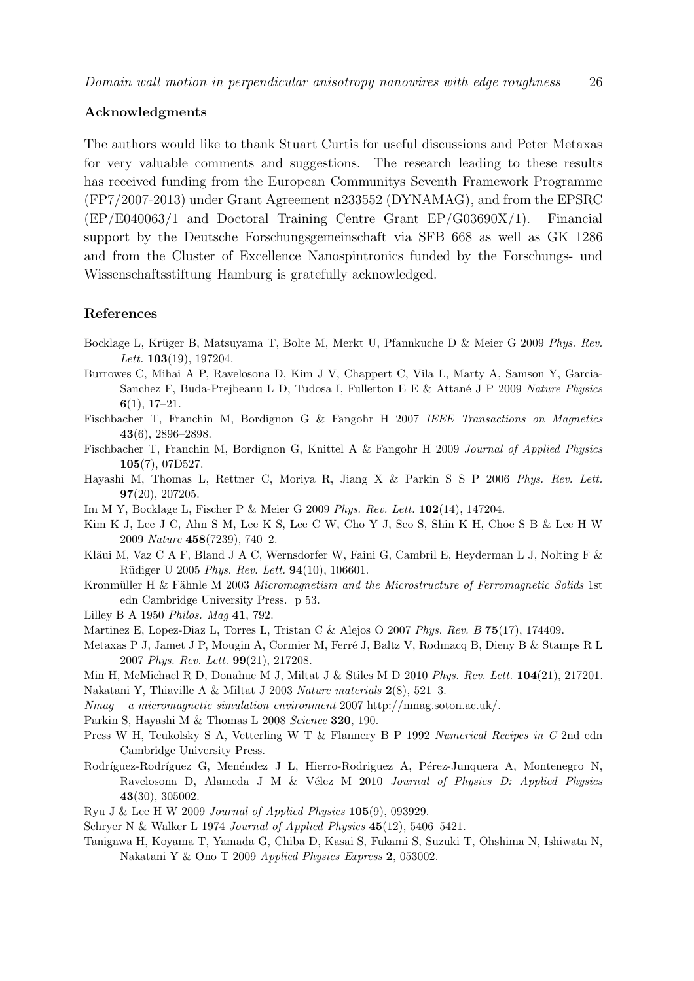# Acknowledgments

The authors would like to thank Stuart Curtis for useful discussions and Peter Metaxas for very valuable comments and suggestions. The research leading to these results has received funding from the European Communitys Seventh Framework Programme (FP7/2007-2013) under Grant Agreement n233552 (DYNAMAG), and from the EPSRC (EP/E040063/1 and Doctoral Training Centre Grant EP/G03690X/1). Financial support by the Deutsche Forschungsgemeinschaft via SFB 668 as well as GK 1286 and from the Cluster of Excellence Nanospintronics funded by the Forschungs- und Wissenschaftsstiftung Hamburg is gratefully acknowledged.

# References

- Bocklage L, Krüger B, Matsuyama T, Bolte M, Merkt U, Pfannkuche D & Meier G 2009 *Phys. Rev. Lett.* 103(19), 197204.
- Burrowes C, Mihai A P, Ravelosona D, Kim J V, Chappert C, Vila L, Marty A, Samson Y, Garcia-Sanchez F, Buda-Prejbeanu L D, Tudosa I, Fullerton E E & Attan´e J P 2009 *Nature Physics* 6(1), 17–21.
- Fischbacher T, Franchin M, Bordignon G & Fangohr H 2007 *IEEE Transactions on Magnetics* 43(6), 2896–2898.
- Fischbacher T, Franchin M, Bordignon G, Knittel A & Fangohr H 2009 *Journal of Applied Physics* 105(7), 07D527.
- Hayashi M, Thomas L, Rettner C, Moriya R, Jiang X & Parkin S S P 2006 *Phys. Rev. Lett.* 97(20), 207205.
- Im M Y, Bocklage L, Fischer P & Meier G 2009 *Phys. Rev. Lett.* 102(14), 147204.
- Kim K J, Lee J C, Ahn S M, Lee K S, Lee C W, Cho Y J, Seo S, Shin K H, Choe S B & Lee H W 2009 *Nature* 458(7239), 740–2.
- Kläui M, Vaz C A F, Bland J A C, Wernsdorfer W, Faini G, Cambril E, Heyderman L J, Nolting F  $\&$ R¨udiger U 2005 *Phys. Rev. Lett.* 94(10), 106601.
- Kronmüller H & Fähnle M 2003 *Micromagnetism and the Microstructure of Ferromagnetic Solids* 1st edn Cambridge University Press. p 53.
- Lilley B A 1950 *Philos. Mag* 41, 792.
- Martinez E, Lopez-Diaz L, Torres L, Tristan C & Alejos O 2007 *Phys. Rev. B* 75(17), 174409.
- Metaxas P J, Jamet J P, Mougin A, Cormier M, Ferré J, Baltz V, Rodmacq B, Dieny B & Stamps R L 2007 *Phys. Rev. Lett.* 99(21), 217208.
- Min H, McMichael R D, Donahue M J, Miltat J & Stiles M D 2010 *Phys. Rev. Lett.* 104(21), 217201.
- Nakatani Y, Thiaville A & Miltat J 2003 *Nature materials* 2(8), 521–3.
- *Nmag a micromagnetic simulation environment* 2007 http://nmag.soton.ac.uk/.
- Parkin S, Hayashi M & Thomas L 2008 *Science* 320, 190.
- Press W H, Teukolsky S A, Vetterling W T & Flannery B P 1992 *Numerical Recipes in C* 2nd edn Cambridge University Press.
- Rodríguez-Rodríguez G, Menéndez J L, Hierro-Rodriguez A, Pérez-Junquera A, Montenegro N, Ravelosona D, Alameda J M & V´elez M 2010 *Journal of Physics D: Applied Physics* 43(30), 305002.
- Ryu J & Lee H W 2009 *Journal of Applied Physics* 105(9), 093929.
- Schryer N & Walker L 1974 *Journal of Applied Physics* 45(12), 5406–5421.
- Tanigawa H, Koyama T, Yamada G, Chiba D, Kasai S, Fukami S, Suzuki T, Ohshima N, Ishiwata N, Nakatani Y & Ono T 2009 *Applied Physics Express* 2, 053002.